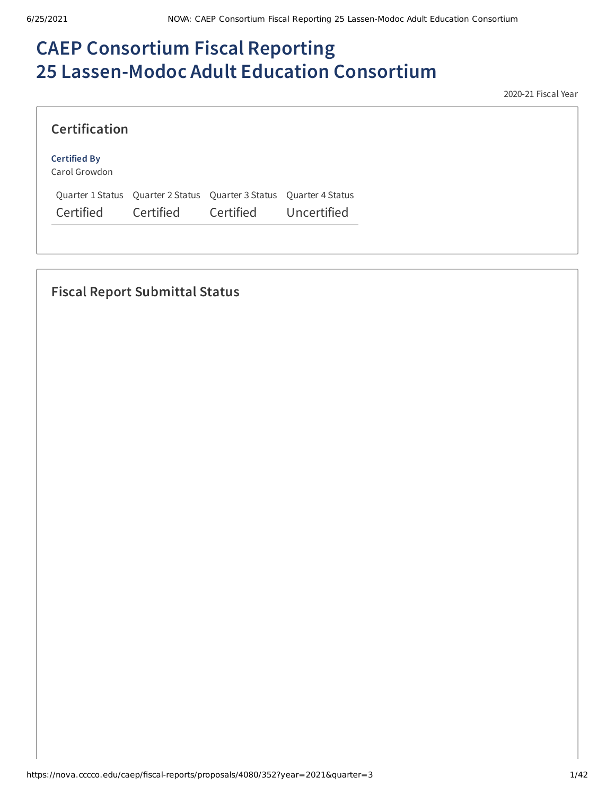# **CAEP Consortium Fiscal Reporting 25 Lassen-Modoc Adult Education Consortium**

2020-21 Fiscal Year

| <b>Certification</b>                 |           |                                                                     |             |
|--------------------------------------|-----------|---------------------------------------------------------------------|-------------|
| <b>Certified By</b><br>Carol Growdon |           |                                                                     |             |
|                                      |           | Quarter 1 Status Quarter 2 Status Quarter 3 Status Quarter 4 Status |             |
| Certified                            | Certified | Certified                                                           | Uncertified |

# **Fiscal Report Submittal Status**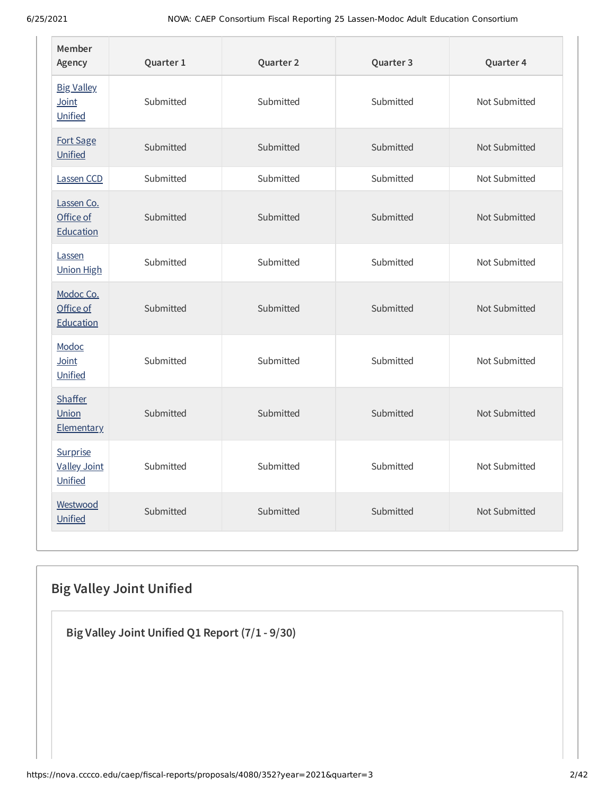| Member<br>Agency                           | Quarter 1 | Quarter 2 | Quarter 3 | Quarter 4     |
|--------------------------------------------|-----------|-----------|-----------|---------------|
| <b>Big Valley</b><br>Joint<br>Unified      | Submitted | Submitted | Submitted | Not Submitted |
| Fort Sage<br>Unified                       | Submitted | Submitted | Submitted | Not Submitted |
| Lassen CCD                                 | Submitted | Submitted | Submitted | Not Submitted |
| Lassen Co.<br>Office of<br>Education       | Submitted | Submitted | Submitted | Not Submitted |
| Lassen<br><b>Union High</b>                | Submitted | Submitted | Submitted | Not Submitted |
| Modoc Co.<br>Office of<br>Education        | Submitted | Submitted | Submitted | Not Submitted |
| Modoc<br>Joint<br>Unified                  | Submitted | Submitted | Submitted | Not Submitted |
| <b>Shaffer</b><br>Union<br>Elementary      | Submitted | Submitted | Submitted | Not Submitted |
| Surprise<br><b>Valley Joint</b><br>Unified | Submitted | Submitted | Submitted | Not Submitted |
| Westwood<br>Unified                        | Submitted | Submitted | Submitted | Not Submitted |

# **Big Valley Joint Unified**

**Big Valley Joint Unified Q1 Report (7/1 - 9/30)**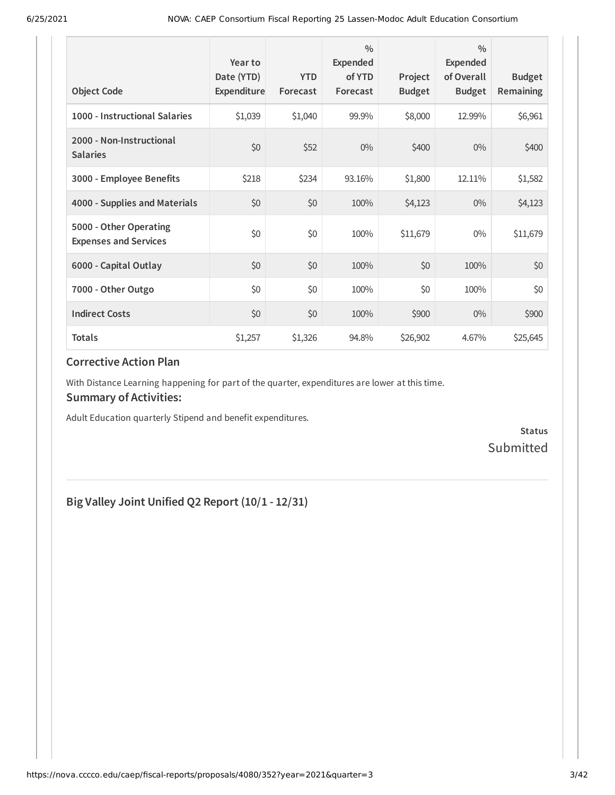| <b>Object Code</b>                                     | Year to<br>Date (YTD)<br>Expenditure | <b>YTD</b><br>Forecast | $\frac{0}{0}$<br>Expended<br>of YTD<br>Forecast | Project<br><b>Budget</b> | $\frac{0}{0}$<br>Expended<br>of Overall<br><b>Budget</b> | <b>Budget</b><br><b>Remaining</b> |
|--------------------------------------------------------|--------------------------------------|------------------------|-------------------------------------------------|--------------------------|----------------------------------------------------------|-----------------------------------|
| 1000 - Instructional Salaries                          | \$1,039                              | \$1,040                | 99.9%                                           | \$8,000                  | 12.99%                                                   | \$6,961                           |
| 2000 - Non-Instructional<br><b>Salaries</b>            | \$0                                  | \$52                   | $0\%$                                           | \$400                    | $0\%$                                                    | \$400                             |
| 3000 - Employee Benefits                               | \$218                                | \$234                  | 93.16%                                          | \$1,800                  | 12.11%                                                   | \$1,582                           |
| 4000 - Supplies and Materials                          | \$0                                  | \$0                    | 100%                                            | \$4,123                  | $0\%$                                                    | \$4,123                           |
| 5000 - Other Operating<br><b>Expenses and Services</b> | \$0                                  | \$0                    | 100%                                            | \$11,679                 | $0\%$                                                    | \$11,679                          |
| 6000 - Capital Outlay                                  | \$0                                  | \$0                    | 100%                                            | \$0                      | 100%                                                     | \$0                               |
| 7000 - Other Outgo                                     | \$0                                  | \$0                    | 100%                                            | \$0                      | 100%                                                     | \$0\$                             |
| <b>Indirect Costs</b>                                  | \$0                                  | \$0                    | 100%                                            | \$900                    | $0\%$                                                    | \$900                             |
| <b>Totals</b>                                          | \$1,257                              | \$1,326                | 94.8%                                           | \$26,902                 | 4.67%                                                    | \$25,645                          |

With Distance Learning happening for part of the quarter, expenditures are lower at this time.

### **Summary of Activities:**

Adult Education quarterly Stipend and benefit expenditures.

**Status** Submitted

### **Big Valley Joint Unified Q2 Report (10/1 - 12/31)**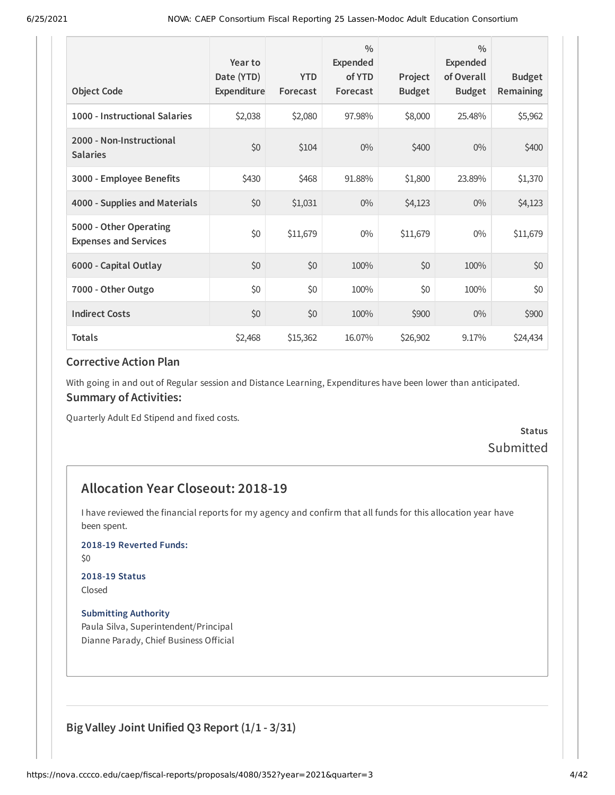| <b>Object Code</b>                                     | Year to<br>Date (YTD)<br>Expenditure | <b>YTD</b><br>Forecast | $\frac{0}{0}$<br>Expended<br>of YTD<br>Forecast | Project<br><b>Budget</b> | $\frac{0}{0}$<br><b>Expended</b><br>of Overall<br><b>Budget</b> | <b>Budget</b><br>Remaining |
|--------------------------------------------------------|--------------------------------------|------------------------|-------------------------------------------------|--------------------------|-----------------------------------------------------------------|----------------------------|
| 1000 - Instructional Salaries                          | \$2,038                              | \$2,080                | 97.98%                                          | \$8,000                  | 25.48%                                                          | \$5,962                    |
| 2000 - Non-Instructional<br><b>Salaries</b>            | \$0                                  | \$104                  | $0\%$                                           | \$400                    | $0\%$                                                           | \$400                      |
| 3000 - Employee Benefits                               | \$430                                | \$468                  | 91.88%                                          | \$1,800                  | 23.89%                                                          | \$1,370                    |
| 4000 - Supplies and Materials                          | \$0                                  | \$1,031                | $0\%$                                           | \$4,123                  | $0\%$                                                           | \$4,123                    |
| 5000 - Other Operating<br><b>Expenses and Services</b> | \$0                                  | \$11,679               | $0\%$                                           | \$11,679                 | $0\%$                                                           | \$11,679                   |
| 6000 - Capital Outlay                                  | \$0                                  | \$0                    | 100%                                            | \$0                      | 100%                                                            | \$0                        |
| 7000 - Other Outgo                                     | \$0                                  | \$0                    | 100%                                            | \$0                      | 100%                                                            | \$0                        |
| <b>Indirect Costs</b>                                  | \$0                                  | \$0                    | 100%                                            | \$900                    | $0\%$                                                           | \$900                      |
| <b>Totals</b>                                          | \$2,468                              | \$15,362               | 16.07%                                          | \$26,902                 | 9.17%                                                           | \$24,434                   |

With going in and out of Regular session and Distance Learning, Expenditures have been lower than anticipated. **Summary of Activities:**

Quarterly Adult Ed Stipend and fixed costs.

### **Status** Submitted

### **Allocation Year Closeout: 2018-19**

I have reviewed the financial reports for my agency and confirm that all funds for this allocation year have been spent.

#### **2018-19 Reverted Funds:**

\$0

#### **2018-19 Status**

Closed

#### **Submitting Authority**

Paula Silva, Superintendent/Principal Dianne Parady, Chief Business Official

### **Big Valley Joint Unified Q3 Report (1/1 - 3/31)**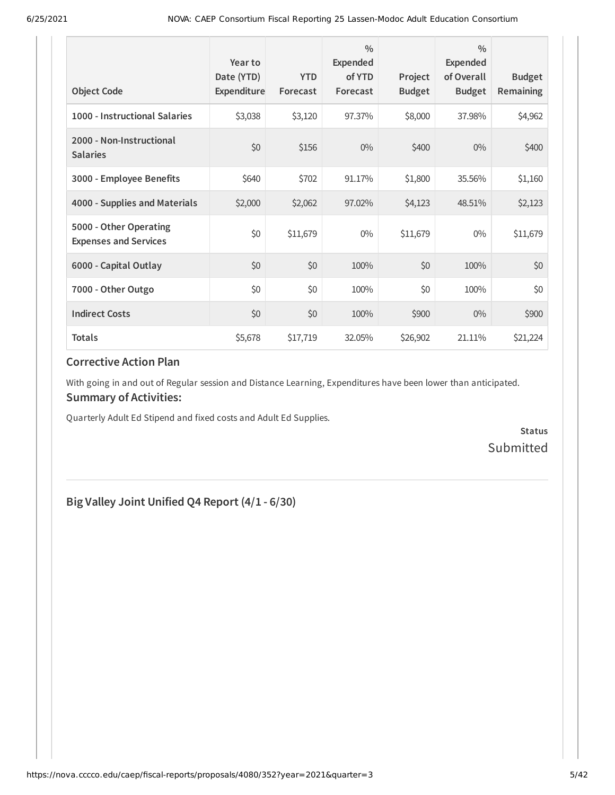| <b>Object Code</b>                                     | Year to<br>Date (YTD)<br>Expenditure | <b>YTD</b><br>Forecast | $\frac{0}{0}$<br>Expended<br>of YTD<br>Forecast | Project<br><b>Budget</b> | $\frac{0}{0}$<br>Expended<br>of Overall<br><b>Budget</b> | <b>Budget</b><br>Remaining |
|--------------------------------------------------------|--------------------------------------|------------------------|-------------------------------------------------|--------------------------|----------------------------------------------------------|----------------------------|
| 1000 - Instructional Salaries                          | \$3,038                              | \$3,120                | 97.37%                                          | \$8,000                  | 37.98%                                                   | \$4,962                    |
| 2000 - Non-Instructional<br><b>Salaries</b>            | \$0                                  | \$156                  | $0\%$                                           | \$400                    | $0\%$                                                    | \$400                      |
| 3000 - Employee Benefits                               | \$640                                | \$702                  | 91.17%                                          | \$1,800                  | 35.56%                                                   | \$1,160                    |
| 4000 - Supplies and Materials                          | \$2,000                              | \$2,062                | 97.02%                                          | \$4,123                  | 48.51%                                                   | \$2,123                    |
| 5000 - Other Operating<br><b>Expenses and Services</b> | \$0                                  | \$11,679               | $0\%$                                           | \$11,679                 | $0\%$                                                    | \$11,679                   |
| 6000 - Capital Outlay                                  | \$0                                  | \$0                    | 100%                                            | \$0                      | 100%                                                     | \$0                        |
| 7000 - Other Outgo                                     | \$0                                  | \$0                    | 100%                                            | \$0                      | 100%                                                     | \$0                        |
| <b>Indirect Costs</b>                                  | \$0                                  | \$0                    | 100%                                            | \$900                    | $0\%$                                                    | \$900                      |
| <b>Totals</b>                                          | \$5,678                              | \$17,719               | 32.05%                                          | \$26,902                 | 21.11%                                                   | \$21,224                   |

With going in and out of Regular session and Distance Learning, Expenditures have been lower than anticipated. **Summary of Activities:**

Quarterly Adult Ed Stipend and fixed costs and Adult Ed Supplies.

**Status** Submitted

# **Big Valley Joint Unified Q4 Report (4/1 - 6/30)**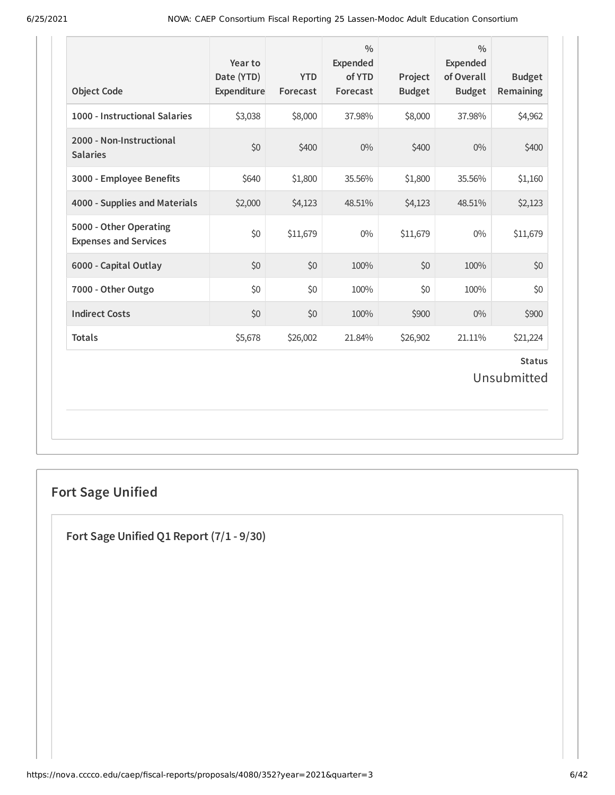| <b>Object Code</b>                                     | Year to<br>Date (YTD)<br>Expenditure | <b>YTD</b><br>Forecast | $\frac{0}{0}$<br><b>Expended</b><br>of YTD<br>Forecast | Project<br><b>Budget</b> | $\frac{0}{0}$<br><b>Expended</b><br>of Overall<br><b>Budget</b> | <b>Budget</b><br>Remaining   |
|--------------------------------------------------------|--------------------------------------|------------------------|--------------------------------------------------------|--------------------------|-----------------------------------------------------------------|------------------------------|
| 1000 - Instructional Salaries                          | \$3,038                              | \$8,000                | 37.98%                                                 | \$8,000                  | 37.98%                                                          | \$4,962                      |
| 2000 - Non-Instructional<br><b>Salaries</b>            | \$0                                  | \$400                  | 0%                                                     | \$400                    | 0%                                                              | \$400                        |
| 3000 - Employee Benefits                               | \$640                                | \$1,800                | 35.56%                                                 | \$1,800                  | 35.56%                                                          | \$1,160                      |
| 4000 - Supplies and Materials                          | \$2,000                              | \$4,123                | 48.51%                                                 | \$4,123                  | 48.51%                                                          | \$2,123                      |
| 5000 - Other Operating<br><b>Expenses and Services</b> | \$0                                  | \$11,679               | $0\%$                                                  | \$11,679                 | $0\%$                                                           | \$11,679                     |
| 6000 - Capital Outlay                                  | \$0                                  | \$0                    | 100%                                                   | \$0                      | 100%                                                            | \$0                          |
| 7000 - Other Outgo                                     | \$0                                  | \$0                    | 100%                                                   | \$0                      | 100%                                                            | \$0                          |
| <b>Indirect Costs</b>                                  | \$0                                  | \$0                    | 100%                                                   | \$900                    | $0\%$                                                           | \$900                        |
| <b>Totals</b>                                          | \$5,678                              | \$26,002               | 21.84%                                                 | \$26,902                 | 21.11%                                                          | \$21,224                     |
|                                                        |                                      |                        |                                                        |                          |                                                                 | <b>Status</b><br>Unsubmitted |

# **Fort Sage Unified**

**Fort Sage Unified Q1 Report (7/1 - 9/30)**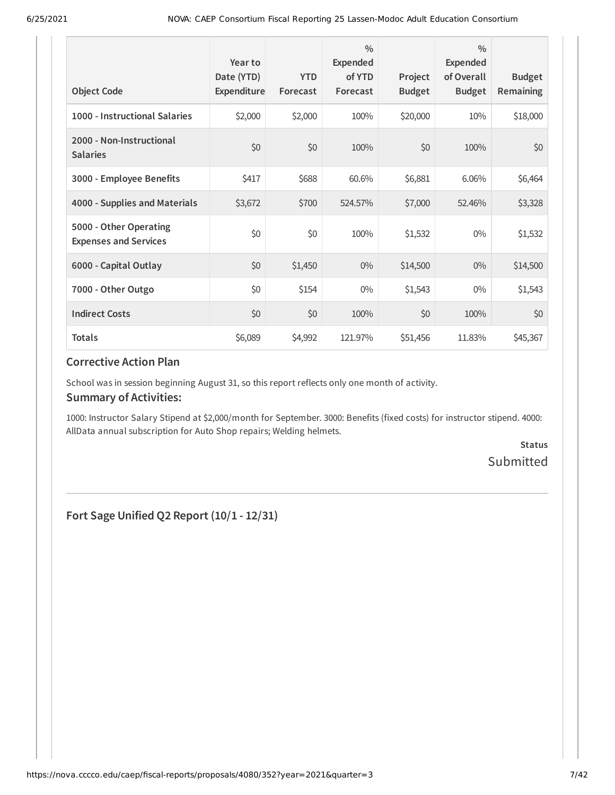| <b>Object Code</b>                                     | Year to<br>Date (YTD)<br>Expenditure | <b>YTD</b><br>Forecast | $\frac{0}{0}$<br><b>Expended</b><br>of YTD<br>Forecast | Project<br><b>Budget</b> | $\frac{0}{0}$<br>Expended<br>of Overall<br><b>Budget</b> | <b>Budget</b><br><b>Remaining</b> |
|--------------------------------------------------------|--------------------------------------|------------------------|--------------------------------------------------------|--------------------------|----------------------------------------------------------|-----------------------------------|
| 1000 - Instructional Salaries                          | \$2,000                              | \$2,000                | 100%                                                   | \$20,000                 | 10%                                                      | \$18,000                          |
| 2000 - Non-Instructional<br><b>Salaries</b>            | \$0                                  | \$0                    | 100%                                                   | \$0                      | 100%                                                     | \$0                               |
| 3000 - Employee Benefits                               | \$417                                | \$688                  | 60.6%                                                  | \$6,881                  | 6.06%                                                    | \$6,464                           |
| 4000 - Supplies and Materials                          | \$3,672                              | \$700                  | 524.57%                                                | \$7,000                  | 52.46%                                                   | \$3,328                           |
| 5000 - Other Operating<br><b>Expenses and Services</b> | \$0                                  | \$0                    | 100%                                                   | \$1,532                  | $0\%$                                                    | \$1,532                           |
| 6000 - Capital Outlay                                  | \$0                                  | \$1,450                | $0\%$                                                  | \$14,500                 | $0\%$                                                    | \$14,500                          |
| 7000 - Other Outgo                                     | \$0                                  | \$154                  | $0\%$                                                  | \$1,543                  | $0\%$                                                    | \$1,543                           |
| <b>Indirect Costs</b>                                  | \$0                                  | \$0                    | 100%                                                   | \$0                      | 100%                                                     | \$0                               |
| <b>Totals</b>                                          | \$6,089                              | \$4,992                | 121.97%                                                | \$51,456                 | 11.83%                                                   | \$45,367                          |

School was in session beginning August 31, so this report reflects only one month of activity.

#### **Summary of Activities:**

1000: Instructor Salary Stipend at \$2,000/month for September. 3000: Benefits (fixed costs) for instructor stipend. 4000: AllData annual subscription for Auto Shop repairs; Welding helmets.

> **Status** Submitted

**Fort Sage Unified Q2 Report (10/1 - 12/31)**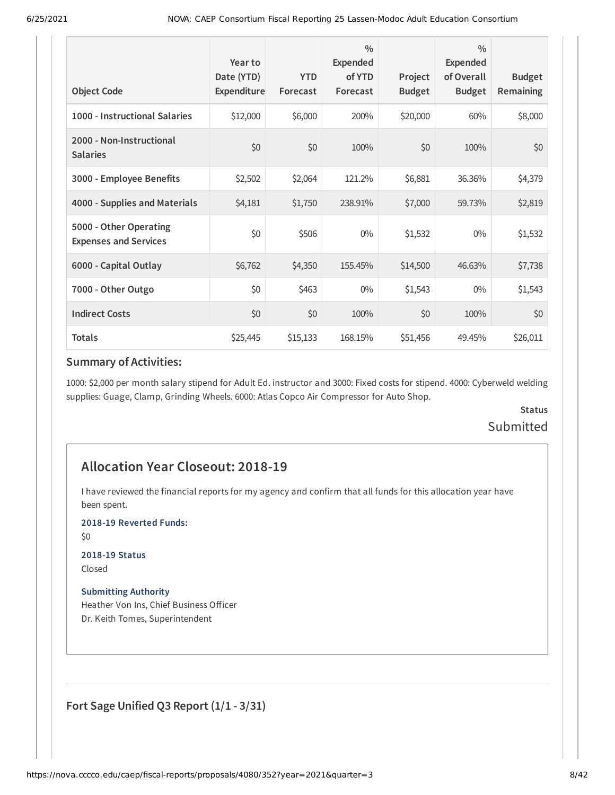| <b>Object Code</b>                                     | Year to<br>Date (YTD)<br>Expenditure | <b>YTD</b><br>Forecast | $\frac{0}{0}$<br>Expended<br>of YTD<br>Forecast | Project<br><b>Budget</b> | $\frac{0}{0}$<br><b>Expended</b><br>of Overall<br><b>Budget</b> | <b>Budget</b><br>Remaining |
|--------------------------------------------------------|--------------------------------------|------------------------|-------------------------------------------------|--------------------------|-----------------------------------------------------------------|----------------------------|
| 1000 - Instructional Salaries                          | \$12,000                             | \$6,000                | 200%                                            | \$20,000                 | 60%                                                             | \$8,000                    |
| 2000 - Non-Instructional<br><b>Salaries</b>            | \$0                                  | \$0                    | 100%                                            | \$0                      | 100%                                                            | \$0                        |
| 3000 - Employee Benefits                               | \$2,502                              | \$2,064                | 121.2%                                          | \$6,881                  | 36.36%                                                          | \$4,379                    |
| 4000 - Supplies and Materials                          | \$4,181                              | \$1,750                | 238.91%                                         | \$7,000                  | 59.73%                                                          | \$2,819                    |
| 5000 - Other Operating<br><b>Expenses and Services</b> | \$0                                  | \$506                  | $0\%$                                           | \$1,532                  | $0\%$                                                           | \$1,532                    |
| 6000 - Capital Outlay                                  | \$6,762                              | \$4,350                | 155.45%                                         | \$14,500                 | 46.63%                                                          | \$7,738                    |
| 7000 - Other Outgo                                     | \$0                                  | \$463                  | $0\%$                                           | \$1,543                  | $0\%$                                                           | \$1,543                    |
| <b>Indirect Costs</b>                                  | \$0                                  | \$0                    | 100%                                            | \$0                      | 100%                                                            | \$0                        |
| <b>Totals</b>                                          | \$25,445                             | \$15,133               | 168.15%                                         | \$51,456                 | 49.45%                                                          | \$26,011                   |

1000: \$2,000 per month salary stipend for Adult Ed. instructor and 3000: Fixed costs for stipend. 4000: Cyberweld welding supplies: Guage, Clamp, Grinding Wheels. 6000: Atlas Copco Air Compressor for Auto Shop.

### **Status** Submitted

### **Allocation Year Closeout: 2018-19**

I have reviewed the financial reports for my agency and confirm that all funds for this allocation year have been spent.

**2018-19 Reverted Funds:**

\$0

### **2018-19 Status**

Closed

#### **Submitting Authority**

Heather Von Ins, Chief Business Officer Dr. Keith Tomes, Superintendent

**Fort Sage Unified Q3 Report (1/1 - 3/31)**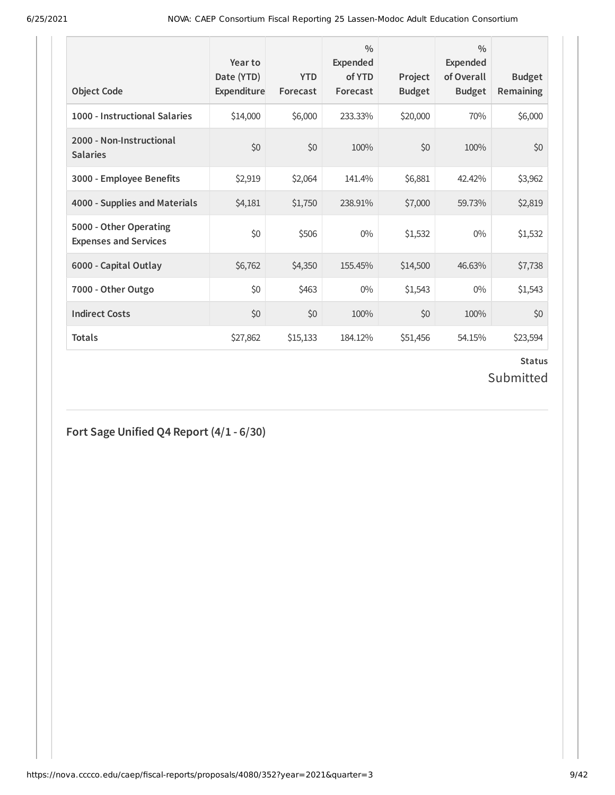| <b>Object Code</b>                                     | Year to<br>Date (YTD)<br>Expenditure | <b>YTD</b><br>Forecast | $\frac{0}{0}$<br><b>Expended</b><br>of YTD<br>Forecast | Project<br><b>Budget</b> | $\frac{0}{0}$<br>Expended<br>of Overall<br><b>Budget</b> | <b>Budget</b><br><b>Remaining</b> |
|--------------------------------------------------------|--------------------------------------|------------------------|--------------------------------------------------------|--------------------------|----------------------------------------------------------|-----------------------------------|
| 1000 - Instructional Salaries                          | \$14,000                             | \$6,000                | 233.33%                                                | \$20,000                 | 70%                                                      | \$6,000                           |
| 2000 - Non-Instructional<br><b>Salaries</b>            | \$0                                  | \$0                    | 100%                                                   | \$0                      | 100%                                                     | \$0                               |
| 3000 - Employee Benefits                               | \$2,919                              | \$2,064                | 141.4%                                                 | \$6,881                  | 42.42%                                                   | \$3,962                           |
| 4000 - Supplies and Materials                          | \$4,181                              | \$1,750                | 238.91%                                                | \$7,000                  | 59.73%                                                   | \$2,819                           |
| 5000 - Other Operating<br><b>Expenses and Services</b> | \$0                                  | \$506                  | $0\%$                                                  | \$1,532                  | $0\%$                                                    | \$1,532                           |
| 6000 - Capital Outlay                                  | \$6,762                              | \$4,350                | 155.45%                                                | \$14,500                 | 46.63%                                                   | \$7,738                           |
| 7000 - Other Outgo                                     | \$0                                  | \$463                  | $0\%$                                                  | \$1,543                  | $0\%$                                                    | \$1,543                           |
| <b>Indirect Costs</b>                                  | \$0                                  | \$0                    | 100%                                                   | \$0                      | 100%                                                     | \$0                               |
| <b>Totals</b>                                          | \$27,862                             | \$15,133               | 184.12%                                                | \$51,456                 | 54.15%                                                   | \$23,594                          |

### **Status** Submitted

**Fort Sage Unified Q4 Report (4/1 - 6/30)**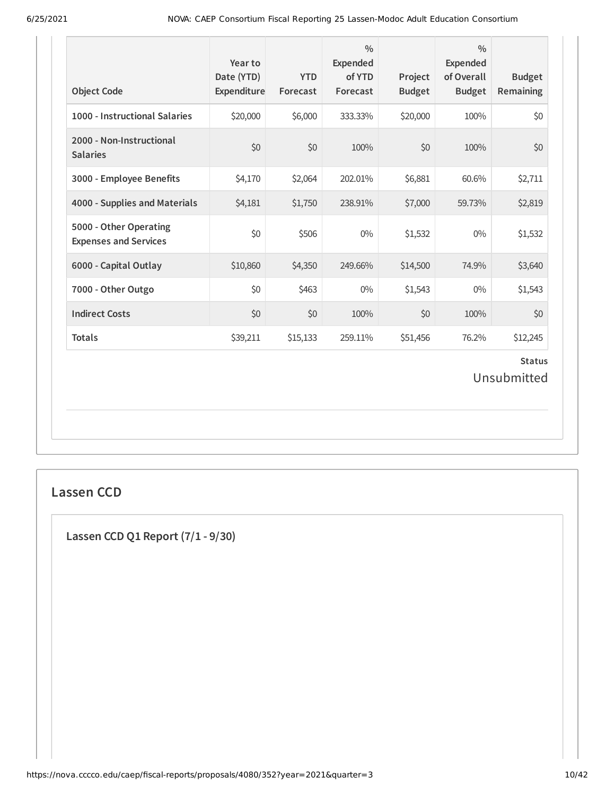| <b>Object Code</b>                                     | Year to<br>Date (YTD)<br>Expenditure | <b>YTD</b><br>Forecast | $\frac{0}{0}$<br>Expended<br>of YTD<br>Forecast | Project<br><b>Budget</b> | $\frac{0}{0}$<br><b>Expended</b><br>of Overall<br><b>Budget</b> | <b>Budget</b><br><b>Remaining</b> |
|--------------------------------------------------------|--------------------------------------|------------------------|-------------------------------------------------|--------------------------|-----------------------------------------------------------------|-----------------------------------|
| 1000 - Instructional Salaries                          | \$20,000                             | \$6,000                | 333.33%                                         | \$20,000                 | 100%                                                            | \$0                               |
| 2000 - Non-Instructional<br><b>Salaries</b>            | \$0                                  | \$0                    | 100%                                            | \$0                      | 100%                                                            | \$0                               |
| 3000 - Employee Benefits                               | \$4,170                              | \$2,064                | 202.01%                                         | \$6,881                  | 60.6%                                                           | \$2,711                           |
| 4000 - Supplies and Materials                          | \$4,181                              | \$1,750                | 238.91%                                         | \$7,000                  | 59.73%                                                          | \$2,819                           |
| 5000 - Other Operating<br><b>Expenses and Services</b> | \$0                                  | \$506                  | $0\%$                                           | \$1,532                  | $0\%$                                                           | \$1,532                           |
| 6000 - Capital Outlay                                  | \$10,860                             | \$4,350                | 249.66%                                         | \$14,500                 | 74.9%                                                           | \$3,640                           |
| 7000 - Other Outgo                                     | \$0                                  | \$463                  | $0\%$                                           | \$1,543                  | $0\%$                                                           | \$1,543                           |
| <b>Indirect Costs</b>                                  | \$0                                  | \$0                    | 100%                                            | \$0                      | 100%                                                            | \$0                               |
| <b>Totals</b>                                          | \$39,211                             | \$15,133               | 259.11%                                         | \$51,456                 | 76.2%                                                           | \$12,245                          |
|                                                        |                                      |                        |                                                 |                          |                                                                 | <b>Status</b><br>Unsubmitted      |
|                                                        |                                      |                        |                                                 |                          |                                                                 |                                   |

### **Lassen CCD**

**Lassen CCD Q1 Report (7/1 - 9/30)**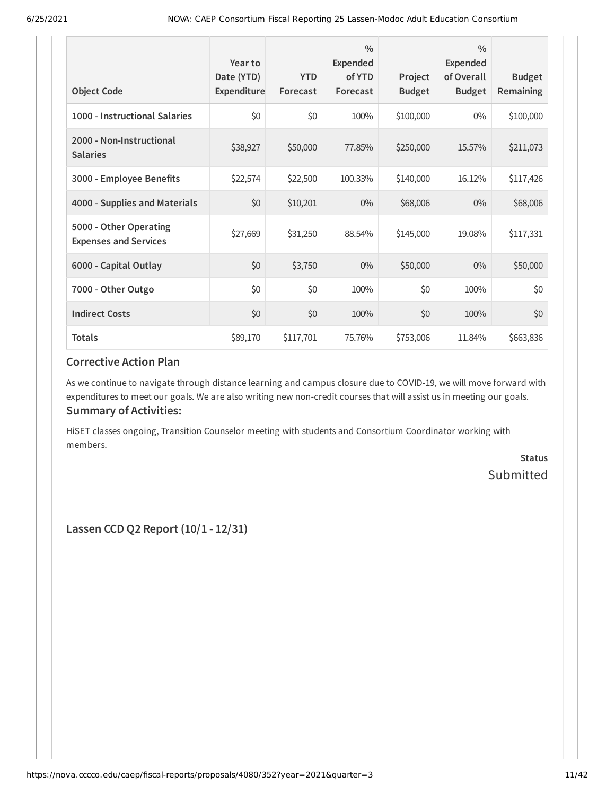| <b>Object Code</b>                                     | Year to<br>Date (YTD)<br>Expenditure | <b>YTD</b><br>Forecast | $\frac{0}{0}$<br><b>Expended</b><br>of YTD<br>Forecast | Project<br><b>Budget</b> | $\frac{0}{0}$<br>Expended<br>of Overall<br><b>Budget</b> | <b>Budget</b><br>Remaining |
|--------------------------------------------------------|--------------------------------------|------------------------|--------------------------------------------------------|--------------------------|----------------------------------------------------------|----------------------------|
| 1000 - Instructional Salaries                          | \$0                                  | \$0                    | 100%                                                   | \$100,000                | $0\%$                                                    | \$100,000                  |
| 2000 - Non-Instructional<br><b>Salaries</b>            | \$38,927                             | \$50,000               | 77.85%                                                 | \$250,000                | 15.57%                                                   | \$211,073                  |
| 3000 - Employee Benefits                               | \$22,574                             | \$22,500               | 100.33%                                                | \$140,000                | 16.12%                                                   | \$117,426                  |
| 4000 - Supplies and Materials                          | \$0                                  | \$10,201               | $0\%$                                                  | \$68,006                 | $0\%$                                                    | \$68,006                   |
| 5000 - Other Operating<br><b>Expenses and Services</b> | \$27,669                             | \$31,250               | 88.54%                                                 | \$145,000                | 19.08%                                                   | \$117,331                  |
| 6000 - Capital Outlay                                  | \$0                                  | \$3,750                | $0\%$                                                  | \$50,000                 | $0\%$                                                    | \$50,000                   |
| 7000 - Other Outgo                                     | \$0                                  | \$0                    | 100%                                                   | \$0                      | 100%                                                     | \$0                        |
| <b>Indirect Costs</b>                                  | \$0                                  | \$0                    | 100%                                                   | \$0                      | 100%                                                     | \$0                        |
| <b>Totals</b>                                          | \$89,170                             | \$117,701              | 75.76%                                                 | \$753,006                | 11.84%                                                   | \$663,836                  |

As we continue to navigate through distance learning and campus closure due to COVID-19, we will move forward with expenditures to meet our goals. We are also writing new non-credit courses that will assist us in meeting our goals. **Summary of Activities:**

HiSET classes ongoing, Transition Counselor meeting with students and Consortium Coordinator working with members.

> **Status** Submitted

**Lassen CCD Q2 Report (10/1 - 12/31)**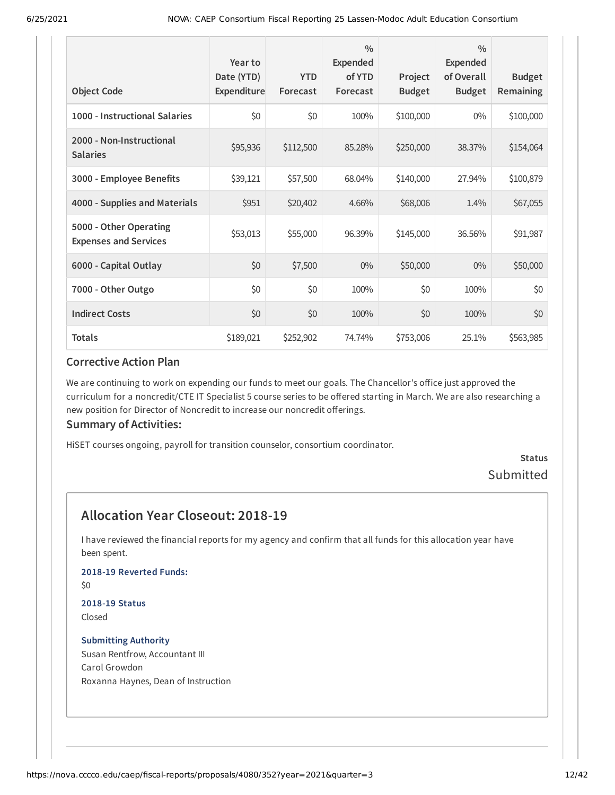| <b>Object Code</b>                                     | Year to<br>Date (YTD)<br>Expenditure | <b>YTD</b><br>Forecast | $\frac{0}{0}$<br><b>Expended</b><br>of YTD<br>Forecast | Project<br><b>Budget</b> | $\frac{0}{0}$<br>Expended<br>of Overall<br><b>Budget</b> | <b>Budget</b><br>Remaining |
|--------------------------------------------------------|--------------------------------------|------------------------|--------------------------------------------------------|--------------------------|----------------------------------------------------------|----------------------------|
| 1000 - Instructional Salaries                          | \$0                                  | \$0                    | 100%                                                   | \$100,000                | $0\%$                                                    | \$100,000                  |
| 2000 - Non-Instructional<br><b>Salaries</b>            | \$95,936                             | \$112,500              | 85.28%                                                 | \$250,000                | 38.37%                                                   | \$154,064                  |
| 3000 - Employee Benefits                               | \$39,121                             | \$57,500               | 68.04%                                                 | \$140,000                | 27.94%                                                   | \$100,879                  |
| 4000 - Supplies and Materials                          | \$951                                | \$20,402               | 4.66%                                                  | \$68,006                 | 1.4%                                                     | \$67,055                   |
| 5000 - Other Operating<br><b>Expenses and Services</b> | \$53,013                             | \$55,000               | 96.39%                                                 | \$145,000                | 36.56%                                                   | \$91,987                   |
| 6000 - Capital Outlay                                  | \$0                                  | \$7,500                | $0\%$                                                  | \$50,000                 | $0\%$                                                    | \$50,000                   |
| 7000 - Other Outgo                                     | \$0                                  | \$0                    | 100%                                                   | \$0                      | 100%                                                     | \$0                        |
| <b>Indirect Costs</b>                                  | \$0                                  | \$0                    | 100%                                                   | \$0                      | 100%                                                     | \$0                        |
| <b>Totals</b>                                          | \$189,021                            | \$252,902              | 74.74%                                                 | \$753,006                | 25.1%                                                    | \$563,985                  |

We are continuing to work on expending our funds to meet our goals. The Chancellor's office just approved the curriculum for a noncredit/CTE IT Specialist 5 course series to be offered starting in March. We are also researching a new position for Director of Noncredit to increase our noncredit offerings.

#### **Summary of Activities:**

HiSET courses ongoing, payroll for transition counselor, consortium coordinator.

### **Status** Submitted

### **Allocation Year Closeout: 2018-19**

I have reviewed the financial reports for my agency and confirm that all funds for this allocation year have been spent.

### **2018-19 Reverted Funds:**

\$0

#### **2018-19 Status** Closed

#### **Submitting Authority** Susan Rentfrow, Accountant III Carol Growdon Roxanna Haynes, Dean of Instruction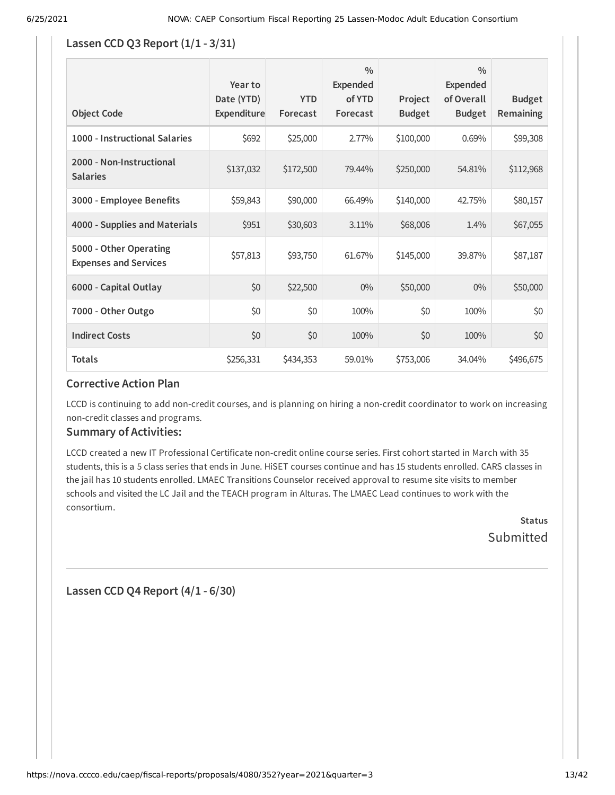#### **Lassen CCD Q3 Report (1/1 - 3/31)**

| <b>Object Code</b>                                     | Year to<br>Date (YTD)<br>Expenditure | <b>YTD</b><br>Forecast | $\frac{0}{0}$<br><b>Expended</b><br>of YTD<br>Forecast | Project<br><b>Budget</b> | $\frac{0}{0}$<br>Expended<br>of Overall<br><b>Budget</b> | <b>Budget</b><br><b>Remaining</b> |
|--------------------------------------------------------|--------------------------------------|------------------------|--------------------------------------------------------|--------------------------|----------------------------------------------------------|-----------------------------------|
| 1000 - Instructional Salaries                          | \$692                                | \$25,000               | 2.77%                                                  | \$100,000                | 0.69%                                                    | \$99,308                          |
| 2000 - Non-Instructional<br><b>Salaries</b>            | \$137,032                            | \$172,500              | 79.44%                                                 | \$250,000                | 54.81%                                                   | \$112,968                         |
| 3000 - Employee Benefits                               | \$59,843                             | \$90,000               | 66.49%                                                 | \$140,000                | 42.75%                                                   | \$80,157                          |
| 4000 - Supplies and Materials                          | \$951                                | \$30,603               | 3.11%                                                  | \$68,006                 | 1.4%                                                     | \$67,055                          |
| 5000 - Other Operating<br><b>Expenses and Services</b> | \$57,813                             | \$93,750               | 61.67%                                                 | \$145,000                | 39.87%                                                   | \$87,187                          |
| 6000 - Capital Outlay                                  | \$0                                  | \$22,500               | $0\%$                                                  | \$50,000                 | $0\%$                                                    | \$50,000                          |
| 7000 - Other Outgo                                     | \$0                                  | \$0                    | 100%                                                   | \$0                      | 100%                                                     | \$0                               |
| <b>Indirect Costs</b>                                  | \$0                                  | \$0                    | 100%                                                   | \$0                      | 100%                                                     | \$0                               |
| <b>Totals</b>                                          | \$256,331                            | \$434,353              | 59.01%                                                 | \$753,006                | 34.04%                                                   | \$496,675                         |

### **Corrective Action Plan**

LCCD is continuing to add non-credit courses, and is planning on hiring a non-credit coordinator to work on increasing non-credit classes and programs.

#### **Summary of Activities:**

LCCD created a new IT Professional Certificate non-credit online course series. First cohort started in March with 35 students, this is a 5 class series that ends in June. HiSET courses continue and has 15 students enrolled. CARS classes in the jail has 10 students enrolled. LMAEC Transitions Counselor received approval to resume site visits to member schools and visited the LC Jail and the TEACH program in Alturas. The LMAEC Lead continues to work with the consortium.

> **Status Submitted**

**Lassen CCD Q4 Report (4/1 - 6/30)**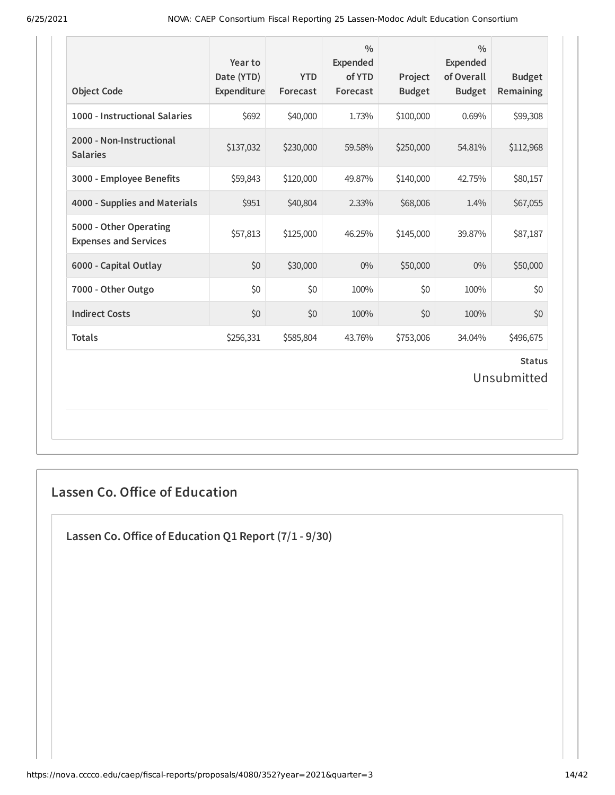| <b>Object Code</b>                                     | Year to<br>Date (YTD)<br>Expenditure | <b>YTD</b><br>Forecast | $\frac{0}{0}$<br>Expended<br>of YTD<br>Forecast | Project<br><b>Budget</b> | $\frac{0}{0}$<br><b>Expended</b><br>of Overall<br><b>Budget</b> | <b>Budget</b><br>Remaining   |
|--------------------------------------------------------|--------------------------------------|------------------------|-------------------------------------------------|--------------------------|-----------------------------------------------------------------|------------------------------|
| 1000 - Instructional Salaries                          | \$692                                | \$40,000               | 1.73%                                           | \$100,000                | 0.69%                                                           | \$99,308                     |
| 2000 - Non-Instructional<br><b>Salaries</b>            | \$137,032                            | \$230,000              | 59.58%                                          | \$250,000                | 54.81%                                                          | \$112,968                    |
| 3000 - Employee Benefits                               | \$59,843                             | \$120,000              | 49.87%                                          | \$140,000                | 42.75%                                                          | \$80,157                     |
| 4000 - Supplies and Materials                          | \$951                                | \$40,804               | 2.33%                                           | \$68,006                 | 1.4%                                                            | \$67,055                     |
| 5000 - Other Operating<br><b>Expenses and Services</b> | \$57,813                             | \$125,000              | 46.25%                                          | \$145,000                | 39.87%                                                          | \$87,187                     |
| 6000 - Capital Outlay                                  | \$0                                  | \$30,000               | $0\%$                                           | \$50,000                 | $0\%$                                                           | \$50,000                     |
| 7000 - Other Outgo                                     | \$0                                  | \$0                    | 100%                                            | \$0                      | 100%                                                            | \$0                          |
| <b>Indirect Costs</b>                                  | \$0                                  | \$0                    | 100%                                            | \$0                      | 100%                                                            | \$0                          |
| <b>Totals</b>                                          | \$256,331                            | \$585,804              | 43.76%                                          | \$753,006                | 34.04%                                                          | \$496,675                    |
|                                                        |                                      |                        |                                                 |                          |                                                                 | <b>Status</b><br>Unsubmitted |

### **Lassen Co. Office of Education**

**Lassen Co.Office of Education Q1 Report (7/1 - 9/30)**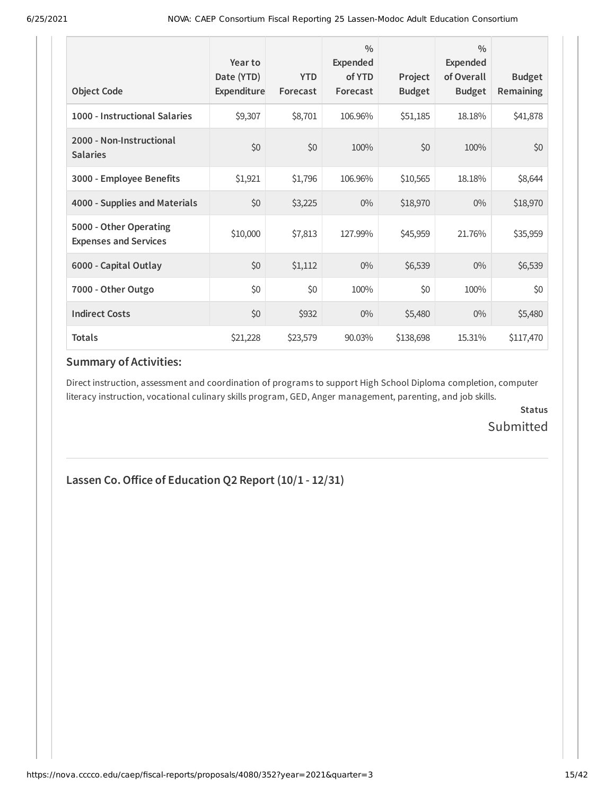| <b>Object Code</b>                                     | Year to<br>Date (YTD)<br>Expenditure | <b>YTD</b><br>Forecast | $\frac{0}{0}$<br><b>Expended</b><br>of YTD<br>Forecast | Project<br><b>Budget</b> | $\frac{0}{0}$<br>Expended<br>of Overall<br><b>Budget</b> | <b>Budget</b><br><b>Remaining</b> |
|--------------------------------------------------------|--------------------------------------|------------------------|--------------------------------------------------------|--------------------------|----------------------------------------------------------|-----------------------------------|
| 1000 - Instructional Salaries                          | \$9,307                              | \$8,701                | 106.96%                                                | \$51,185                 | 18.18%                                                   | \$41,878                          |
| 2000 - Non-Instructional<br><b>Salaries</b>            | \$0                                  | \$0                    | 100%                                                   | \$0                      | 100%                                                     | \$0                               |
| 3000 - Employee Benefits                               | \$1,921                              | \$1,796                | 106.96%                                                | \$10,565                 | 18.18%                                                   | \$8,644                           |
| 4000 - Supplies and Materials                          | \$0                                  | \$3,225                | $0\%$                                                  | \$18,970                 | $0\%$                                                    | \$18,970                          |
| 5000 - Other Operating<br><b>Expenses and Services</b> | \$10,000                             | \$7,813                | 127.99%                                                | \$45,959                 | 21.76%                                                   | \$35,959                          |
| 6000 - Capital Outlay                                  | \$0                                  | \$1,112                | $0\%$                                                  | \$6,539                  | $0\%$                                                    | \$6,539                           |
| 7000 - Other Outgo                                     | \$0                                  | \$0                    | 100%                                                   | \$0                      | 100%                                                     | \$0                               |
| <b>Indirect Costs</b>                                  | \$0                                  | \$932                  | 0%                                                     | \$5,480                  | $0\%$                                                    | \$5,480                           |
| <b>Totals</b>                                          | \$21,228                             | \$23,579               | 90.03%                                                 | \$138,698                | 15.31%                                                   | \$117,470                         |

Direct instruction, assessment and coordination of programs to support High School Diploma completion, computer literacy instruction, vocational culinary skills program, GED, Anger management, parenting, and job skills.

> **Status** Submitted

### **Lassen Co.Office of Education Q2 Report (10/1 - 12/31)**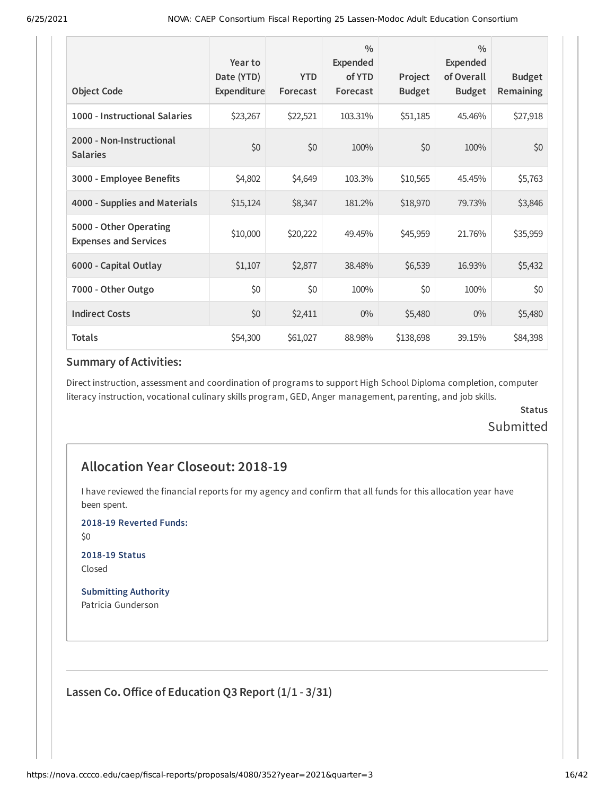| <b>Object Code</b>                                     | Year to<br>Date (YTD)<br>Expenditure | <b>YTD</b><br>Forecast | $\frac{0}{0}$<br>Expended<br>of YTD<br>Forecast | Project<br><b>Budget</b> | $\frac{0}{0}$<br><b>Expended</b><br>of Overall<br><b>Budget</b> | <b>Budget</b><br><b>Remaining</b> |
|--------------------------------------------------------|--------------------------------------|------------------------|-------------------------------------------------|--------------------------|-----------------------------------------------------------------|-----------------------------------|
| 1000 - Instructional Salaries                          | \$23,267                             | \$22,521               | 103.31%                                         | \$51,185                 | 45.46%                                                          | \$27,918                          |
| 2000 - Non-Instructional<br><b>Salaries</b>            | \$0                                  | \$0                    | 100%                                            | \$0                      | 100%                                                            | \$0                               |
| 3000 - Employee Benefits                               | \$4,802                              | \$4,649                | 103.3%                                          | \$10,565                 | 45.45%                                                          | \$5,763                           |
| 4000 - Supplies and Materials                          | \$15,124                             | \$8,347                | 181.2%                                          | \$18,970                 | 79.73%                                                          | \$3,846                           |
| 5000 - Other Operating<br><b>Expenses and Services</b> | \$10,000                             | \$20,222               | 49.45%                                          | \$45,959                 | 21.76%                                                          | \$35,959                          |
| 6000 - Capital Outlay                                  | \$1,107                              | \$2,877                | 38.48%                                          | \$6,539                  | 16.93%                                                          | \$5,432                           |
| 7000 - Other Outgo                                     | \$0                                  | \$0                    | 100%                                            | \$0                      | 100%                                                            | \$0                               |
| <b>Indirect Costs</b>                                  | \$0                                  | \$2,411                | $0\%$                                           | \$5,480                  | $0\%$                                                           | \$5,480                           |
| <b>Totals</b>                                          | \$54,300                             | \$61,027               | 88.98%                                          | \$138,698                | 39.15%                                                          | \$84,398                          |

Direct instruction, assessment and coordination of programs to support High School Diploma completion, computer literacy instruction, vocational culinary skills program, GED, Anger management, parenting, and job skills.

### **Status** Submitted

### **Allocation Year Closeout: 2018-19**

I have reviewed the financial reports for my agency and confirm that all funds for this allocation year have been spent.

**2018-19 Reverted Funds:**

\$0

**2018-19 Status** Closed

**Submitting Authority** Patricia Gunderson

**Lassen Co.Office of Education Q3 Report (1/1 - 3/31)**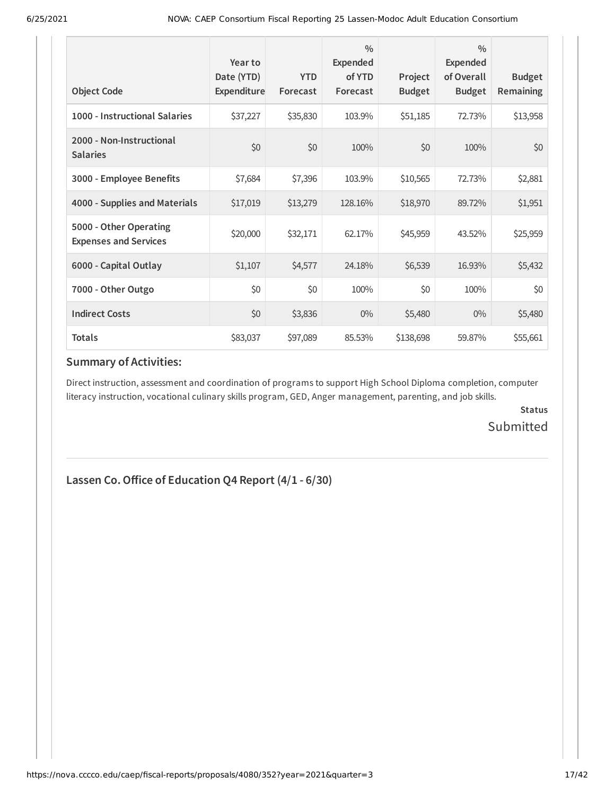| <b>Object Code</b>                                     | Year to<br>Date (YTD)<br>Expenditure | <b>YTD</b><br>Forecast | $\frac{0}{0}$<br>Expended<br>of YTD<br>Forecast | Project<br><b>Budget</b> | $\frac{0}{0}$<br><b>Expended</b><br>of Overall<br><b>Budget</b> | <b>Budget</b><br><b>Remaining</b> |
|--------------------------------------------------------|--------------------------------------|------------------------|-------------------------------------------------|--------------------------|-----------------------------------------------------------------|-----------------------------------|
| 1000 - Instructional Salaries                          | \$37,227                             | \$35,830               | 103.9%                                          | \$51,185                 | 72.73%                                                          | \$13,958                          |
| 2000 - Non-Instructional<br><b>Salaries</b>            | \$0                                  | \$0                    | 100%                                            | \$0                      | 100%                                                            | \$0                               |
| 3000 - Employee Benefits                               | \$7,684                              | \$7,396                | 103.9%                                          | \$10,565                 | 72.73%                                                          | \$2,881                           |
| 4000 - Supplies and Materials                          | \$17,019                             | \$13,279               | 128.16%                                         | \$18,970                 | 89.72%                                                          | \$1,951                           |
| 5000 - Other Operating<br><b>Expenses and Services</b> | \$20,000                             | \$32,171               | 62.17%                                          | \$45,959                 | 43.52%                                                          | \$25,959                          |
| 6000 - Capital Outlay                                  | \$1,107                              | \$4,577                | 24.18%                                          | \$6,539                  | 16.93%                                                          | \$5,432                           |
| 7000 - Other Outgo                                     | \$0                                  | \$0                    | 100%                                            | \$0                      | 100%                                                            | \$0                               |
| <b>Indirect Costs</b>                                  | \$0                                  | \$3,836                | $0\%$                                           | \$5,480                  | $0\%$                                                           | \$5,480                           |
| <b>Totals</b>                                          | \$83,037                             | \$97,089               | 85.53%                                          | \$138,698                | 59.87%                                                          | \$55,661                          |

Direct instruction, assessment and coordination of programs to support High School Diploma completion, computer literacy instruction, vocational culinary skills program, GED, Anger management, parenting, and job skills.

> **Status** Submitted

### **Lassen Co.Office of Education Q4 Report (4/1 - 6/30)**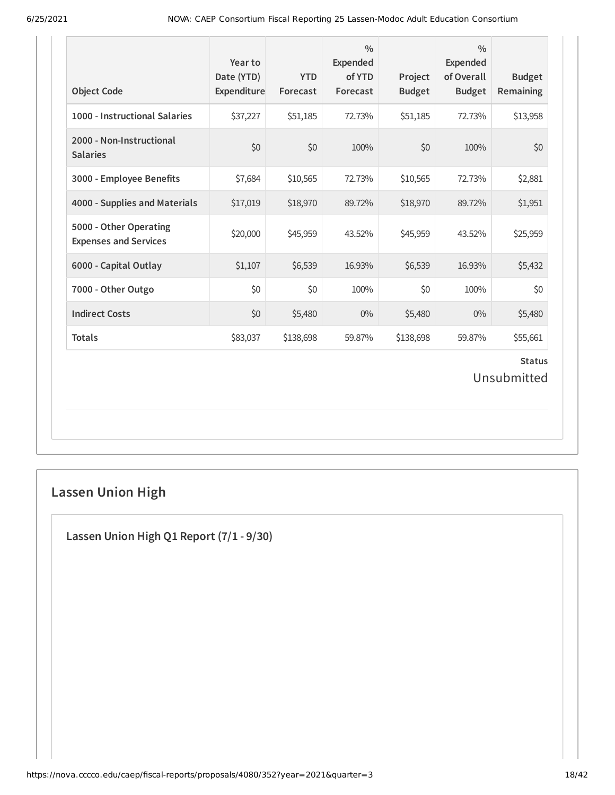| <b>Object Code</b>                                     | Year to<br>Date (YTD)<br>Expenditure | <b>YTD</b><br>Forecast | $\frac{0}{0}$<br>Expended<br>of YTD<br>Forecast | Project<br><b>Budget</b> | $\frac{0}{0}$<br><b>Expended</b><br>of Overall<br><b>Budget</b> | <b>Budget</b><br>Remaining   |
|--------------------------------------------------------|--------------------------------------|------------------------|-------------------------------------------------|--------------------------|-----------------------------------------------------------------|------------------------------|
| 1000 - Instructional Salaries                          | \$37,227                             | \$51,185               | 72.73%                                          | \$51,185                 | 72.73%                                                          | \$13,958                     |
| 2000 - Non-Instructional<br><b>Salaries</b>            | \$0                                  | \$0                    | 100%                                            | \$0                      | 100%                                                            | \$0                          |
| 3000 - Employee Benefits                               | \$7,684                              | \$10,565               | 72.73%                                          | \$10,565                 | 72.73%                                                          | \$2,881                      |
| 4000 - Supplies and Materials                          | \$17,019                             | \$18,970               | 89.72%                                          | \$18,970                 | 89.72%                                                          | \$1,951                      |
| 5000 - Other Operating<br><b>Expenses and Services</b> | \$20,000                             | \$45,959               | 43.52%                                          | \$45,959                 | 43.52%                                                          | \$25,959                     |
| 6000 - Capital Outlay                                  | \$1,107                              | \$6,539                | 16.93%                                          | \$6,539                  | 16.93%                                                          | \$5,432                      |
| 7000 - Other Outgo                                     | \$0                                  | \$0                    | 100%                                            | \$0                      | 100%                                                            | \$0                          |
| <b>Indirect Costs</b>                                  | \$0                                  | \$5,480                | $0\%$                                           | \$5,480                  | $0\%$                                                           | \$5,480                      |
| <b>Totals</b>                                          | \$83,037                             | \$138,698              | 59.87%                                          | \$138,698                | 59.87%                                                          | \$55,661                     |
|                                                        |                                      |                        |                                                 |                          |                                                                 | <b>Status</b><br>Unsubmitted |

# **Lassen Union High**

**Lassen Union High Q1 Report (7/1 - 9/30)**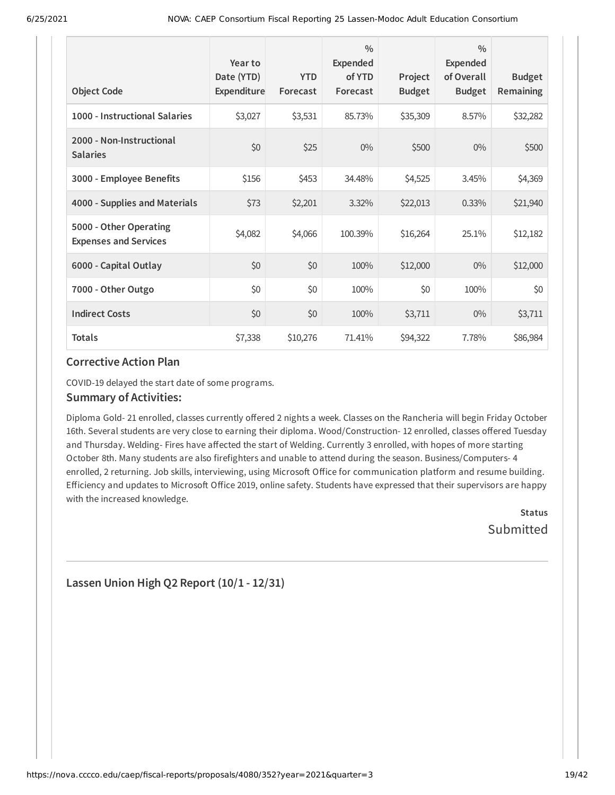| <b>Object Code</b>                                     | Year to<br>Date (YTD)<br>Expenditure | <b>YTD</b><br>Forecast | $\frac{0}{0}$<br><b>Expended</b><br>of YTD<br>Forecast | Project<br><b>Budget</b> | $\frac{0}{0}$<br>Expended<br>of Overall<br><b>Budget</b> | <b>Budget</b><br><b>Remaining</b> |
|--------------------------------------------------------|--------------------------------------|------------------------|--------------------------------------------------------|--------------------------|----------------------------------------------------------|-----------------------------------|
| 1000 - Instructional Salaries                          | \$3,027                              | \$3,531                | 85.73%                                                 | \$35,309                 | 8.57%                                                    | \$32,282                          |
| 2000 - Non-Instructional<br><b>Salaries</b>            | \$0                                  | \$25                   | $0\%$                                                  | \$500                    | $0\%$                                                    | \$500                             |
| 3000 - Employee Benefits                               | \$156                                | \$453                  | 34.48%                                                 | \$4,525                  | 3.45%                                                    | \$4,369                           |
| 4000 - Supplies and Materials                          | \$73                                 | \$2,201                | 3.32%                                                  | \$22,013                 | 0.33%                                                    | \$21,940                          |
| 5000 - Other Operating<br><b>Expenses and Services</b> | \$4,082                              | \$4,066                | 100.39%                                                | \$16,264                 | 25.1%                                                    | \$12,182                          |
| 6000 - Capital Outlay                                  | \$0                                  | \$0                    | 100%                                                   | \$12,000                 | $0\%$                                                    | \$12,000                          |
| 7000 - Other Outgo                                     | \$0                                  | \$0                    | 100%                                                   | \$0                      | 100%                                                     | \$0                               |
| <b>Indirect Costs</b>                                  | \$0                                  | \$0                    | 100%                                                   | \$3,711                  | $0\%$                                                    | \$3,711                           |
| <b>Totals</b>                                          | \$7,338                              | \$10,276               | 71.41%                                                 | \$94,322                 | 7.78%                                                    | \$86,984                          |

COVID-19 delayed the start date of some programs.

#### **Summary of Activities:**

Diploma Gold- 21 enrolled, classes currently offered 2 nights a week. Classes on the Rancheria will begin Friday October 16th. Several students are very close to earning their diploma. Wood/Construction- 12 enrolled, classes offered Tuesday and Thursday. Welding- Fires have affected the start of Welding. Currently 3 enrolled, with hopes of more starting October 8th. Many students are also firefighters and unable to attend during the season. Business/Computers- 4 enrolled, 2 returning. Job skills, interviewing, using Microsoft Office for communication platform and resume building. Efficiency and updates to Microsoft Office 2019, online safety. Students have expressed that their supervisors are happy with the increased knowledge.

> **Status Submitted**

### **Lassen Union High Q2 Report (10/1 - 12/31)**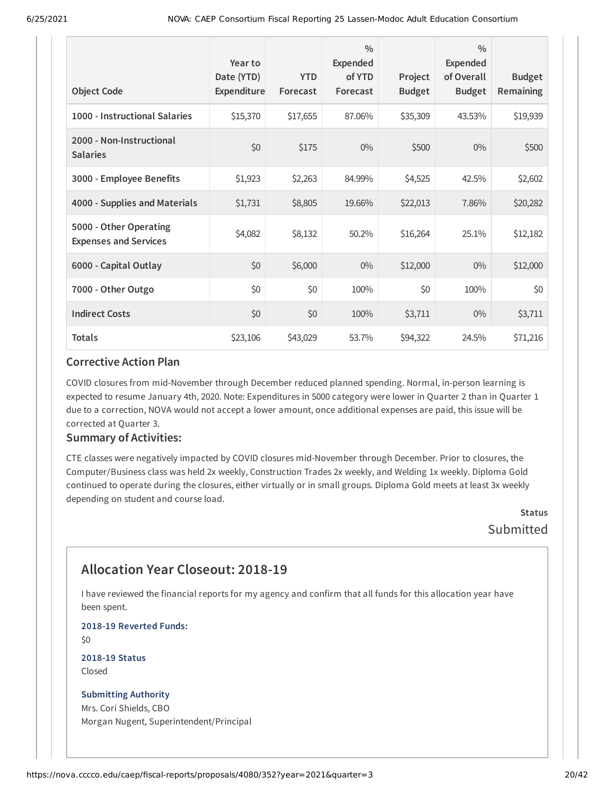| <b>Object Code</b>                                     | Year to<br>Date (YTD)<br>Expenditure | <b>YTD</b><br>Forecast | $\frac{0}{0}$<br><b>Expended</b><br>of YTD<br>Forecast | Project<br><b>Budget</b> | $\frac{0}{0}$<br>Expended<br>of Overall<br><b>Budget</b> | <b>Budget</b><br><b>Remaining</b> |
|--------------------------------------------------------|--------------------------------------|------------------------|--------------------------------------------------------|--------------------------|----------------------------------------------------------|-----------------------------------|
| 1000 - Instructional Salaries                          | \$15,370                             | \$17,655               | 87.06%                                                 | \$35,309                 | 43.53%                                                   | \$19,939                          |
| 2000 - Non-Instructional<br><b>Salaries</b>            | \$0                                  | \$175                  | $0\%$                                                  | \$500                    | $0\%$                                                    | \$500                             |
| 3000 - Employee Benefits                               | \$1,923                              | \$2,263                | 84.99%                                                 | \$4,525                  | 42.5%                                                    | \$2,602                           |
| 4000 - Supplies and Materials                          | \$1,731                              | \$8,805                | 19.66%                                                 | \$22,013                 | 7.86%                                                    | \$20,282                          |
| 5000 - Other Operating<br><b>Expenses and Services</b> | \$4,082                              | \$8,132                | 50.2%                                                  | \$16,264                 | 25.1%                                                    | \$12,182                          |
| 6000 - Capital Outlay                                  | \$0                                  | \$6,000                | $0\%$                                                  | \$12,000                 | $0\%$                                                    | \$12,000                          |
| 7000 - Other Outgo                                     | \$0                                  | \$0                    | 100%                                                   | \$0                      | 100%                                                     | \$0                               |
| <b>Indirect Costs</b>                                  | \$0                                  | \$0                    | 100%                                                   | \$3,711                  | $0\%$                                                    | \$3,711                           |
| <b>Totals</b>                                          | \$23,106                             | \$43,029               | 53.7%                                                  | \$94,322                 | 24.5%                                                    | \$71,216                          |

COVID closures from mid-November through December reduced planned spending. Normal, in-person learning is expected to resume January 4th, 2020. Note: Expenditures in 5000 category were lower in Quarter 2 than in Quarter 1 due to a correction, NOVA would not accept a lower amount, once additional expenses are paid, this issue will be corrected at Quarter 3.

#### **Summary of Activities:**

CTE classes were negatively impacted by COVID closures mid-November through December. Prior to closures, the Computer/Business class was held 2x weekly, Construction Trades 2x weekly, and Welding 1x weekly. Diploma Gold continued to operate during the closures, either virtually or in small groups. Diploma Gold meets at least 3x weekly depending on student and course load.

> **Status Submitted**

### **Allocation Year Closeout: 2018-19**

I have reviewed the financial reports for my agency and confirm that all funds for this allocation year have been spent.

**2018-19 Reverted Funds:**

\$0

**2018-19 Status** Closed

#### **Submitting Authority**

Mrs. Cori Shields, CBO Morgan Nugent, Superintendent/Principal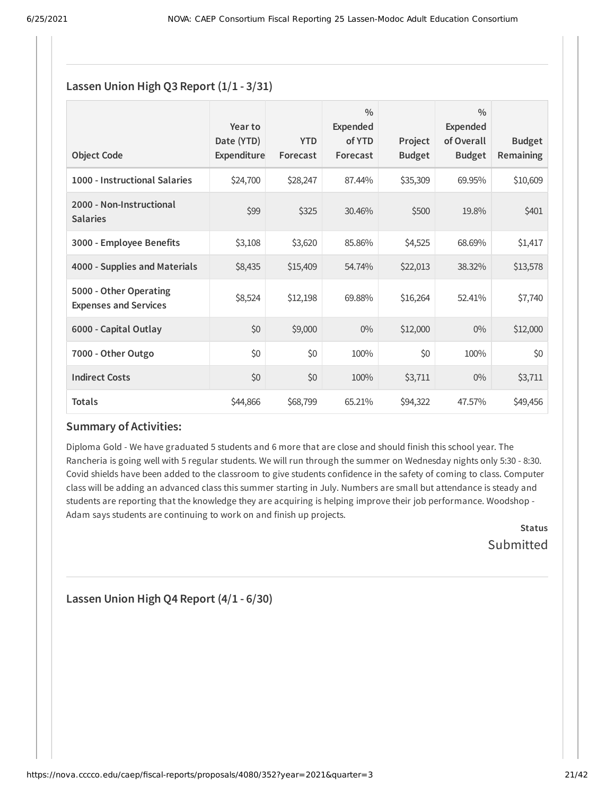### **Lassen Union High Q3 Report (1/1 - 3/31)**

| <b>Object Code</b>                                     | Year to<br>Date (YTD)<br>Expenditure | <b>YTD</b><br>Forecast | $\frac{0}{0}$<br><b>Expended</b><br>of YTD<br>Forecast | Project<br><b>Budget</b> | $\frac{0}{0}$<br><b>Expended</b><br>of Overall<br><b>Budget</b> | <b>Budget</b><br><b>Remaining</b> |
|--------------------------------------------------------|--------------------------------------|------------------------|--------------------------------------------------------|--------------------------|-----------------------------------------------------------------|-----------------------------------|
| 1000 - Instructional Salaries                          | \$24,700                             | \$28,247               | 87.44%                                                 | \$35,309                 | 69.95%                                                          | \$10,609                          |
| 2000 - Non-Instructional<br><b>Salaries</b>            | \$99                                 | \$325                  | 30.46%                                                 | \$500                    | 19.8%                                                           | \$401                             |
| 3000 - Employee Benefits                               | \$3,108                              | \$3,620                | 85.86%                                                 | \$4,525                  | 68.69%                                                          | \$1,417                           |
| 4000 - Supplies and Materials                          | \$8,435                              | \$15,409               | 54.74%                                                 | \$22,013                 | 38.32%                                                          | \$13,578                          |
| 5000 - Other Operating<br><b>Expenses and Services</b> | \$8,524                              | \$12,198               | 69.88%                                                 | \$16,264                 | 52.41%                                                          | \$7,740                           |
| 6000 - Capital Outlay                                  | \$0                                  | \$9,000                | $0\%$                                                  | \$12,000                 | $0\%$                                                           | \$12,000                          |
| 7000 - Other Outgo                                     | \$0                                  | \$0                    | 100%                                                   | \$0                      | 100%                                                            | \$0                               |
| <b>Indirect Costs</b>                                  | \$0                                  | \$0                    | 100%                                                   | \$3,711                  | $0\%$                                                           | \$3,711                           |
| <b>Totals</b>                                          | \$44,866                             | \$68,799               | 65.21%                                                 | \$94,322                 | 47.57%                                                          | \$49,456                          |

### **Summary of Activities:**

Diploma Gold - We have graduated 5 students and 6 more that are close and should finish this school year. The Rancheria is going well with 5 regular students. We will run through the summer on Wednesday nights only 5:30 - 8:30. Covid shields have been added to the classroom to give students confidence in the safety of coming to class. Computer class will be adding an advanced class this summer starting in July. Numbers are small but attendance is steady and students are reporting that the knowledge they are acquiring is helping improve their job performance. Woodshop - Adam says students are continuing to work on and finish up projects.

> **Status** Submitted

**Lassen Union High Q4 Report (4/1 - 6/30)**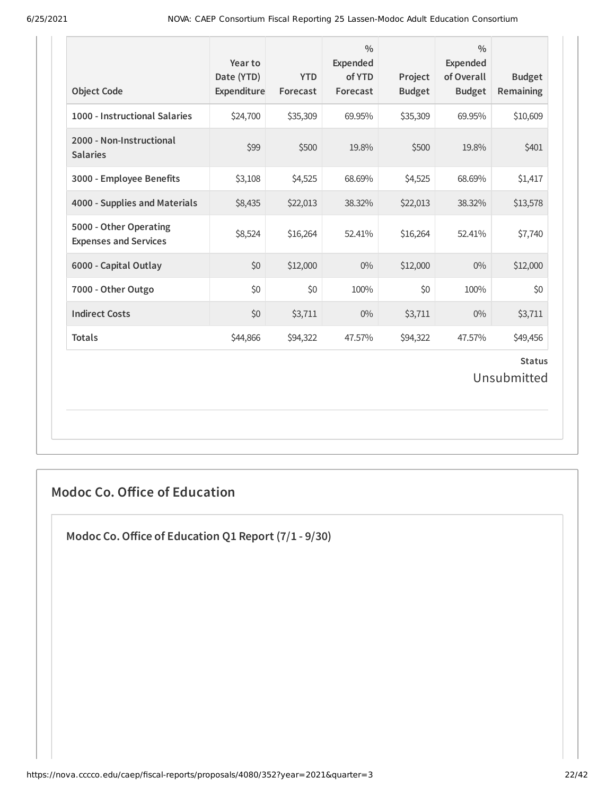| <b>Object Code</b>                                     | Year to<br>Date (YTD)<br>Expenditure | <b>YTD</b><br>Forecast | $\frac{0}{0}$<br><b>Expended</b><br>of YTD<br>Forecast | Project<br><b>Budget</b> | $\frac{0}{0}$<br><b>Expended</b><br>of Overall<br><b>Budget</b> | <b>Budget</b><br><b>Remaining</b> |
|--------------------------------------------------------|--------------------------------------|------------------------|--------------------------------------------------------|--------------------------|-----------------------------------------------------------------|-----------------------------------|
| 1000 - Instructional Salaries                          | \$24,700                             | \$35,309               | 69.95%                                                 | \$35,309                 | 69.95%                                                          | \$10,609                          |
| 2000 - Non-Instructional<br><b>Salaries</b>            | \$99                                 | \$500                  | 19.8%                                                  | \$500                    | 19.8%                                                           | \$401                             |
| 3000 - Employee Benefits                               | \$3,108                              | \$4,525                | 68.69%                                                 | \$4,525                  | 68.69%                                                          | \$1,417                           |
| 4000 - Supplies and Materials                          | \$8,435                              | \$22,013               | 38.32%                                                 | \$22,013                 | 38.32%                                                          | \$13,578                          |
| 5000 - Other Operating<br><b>Expenses and Services</b> | \$8,524                              | \$16,264               | 52.41%                                                 | \$16,264                 | 52.41%                                                          | \$7,740                           |
| 6000 - Capital Outlay                                  | \$0                                  | \$12,000               | $0\%$                                                  | \$12,000                 | $0\%$                                                           | \$12,000                          |
| 7000 - Other Outgo                                     | \$0                                  | \$0                    | 100%                                                   | \$0                      | 100%                                                            | \$0                               |
| <b>Indirect Costs</b>                                  | \$0                                  | \$3,711                | $0\%$                                                  | \$3,711                  | $0\%$                                                           | \$3,711                           |
| <b>Totals</b>                                          | \$44,866                             | \$94,322               | 47.57%                                                 | \$94,322                 | 47.57%                                                          | \$49,456                          |
|                                                        |                                      |                        |                                                        |                          |                                                                 | <b>Status</b><br>Unsubmitted      |

### **Modoc Co. Office of Education**

**Modoc Co.Office of Education Q1 Report (7/1 - 9/30)**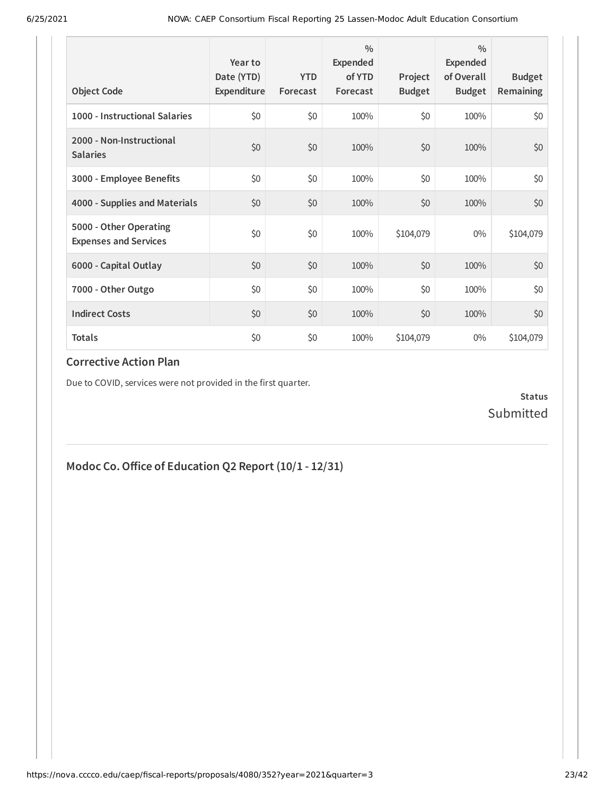| <b>Object Code</b>                                     | Year to<br>Date (YTD)<br>Expenditure | <b>YTD</b><br>Forecast | $\frac{0}{0}$<br>Expended<br>of YTD<br>Forecast | Project<br><b>Budget</b> | $\frac{0}{0}$<br>Expended<br>of Overall<br><b>Budget</b> | <b>Budget</b><br><b>Remaining</b> |
|--------------------------------------------------------|--------------------------------------|------------------------|-------------------------------------------------|--------------------------|----------------------------------------------------------|-----------------------------------|
| 1000 - Instructional Salaries                          | \$0                                  | \$0                    | 100%                                            | \$0                      | 100%                                                     | \$0                               |
| 2000 - Non-Instructional<br><b>Salaries</b>            | \$0                                  | \$0                    | 100%                                            | \$0                      | 100%                                                     | \$0                               |
| 3000 - Employee Benefits                               | \$0                                  | \$0                    | 100%                                            | \$0                      | 100%                                                     | \$0                               |
| 4000 - Supplies and Materials                          | \$0                                  | \$0                    | 100%                                            | \$0                      | 100%                                                     | \$0                               |
| 5000 - Other Operating<br><b>Expenses and Services</b> | \$0                                  | \$0                    | 100%                                            | \$104,079                | $0\%$                                                    | \$104,079                         |
| 6000 - Capital Outlay                                  | \$0                                  | \$0                    | 100%                                            | \$0                      | 100%                                                     | \$0                               |
| 7000 - Other Outgo                                     | \$0                                  | \$0                    | 100%                                            | \$0                      | 100%                                                     | \$0                               |
| <b>Indirect Costs</b>                                  | \$0                                  | \$0                    | 100%                                            | \$0                      | 100%                                                     | \$0                               |
| <b>Totals</b>                                          | \$0                                  | \$0                    | 100%                                            | \$104,079                | $0\%$                                                    | \$104,079                         |

Due to COVID, services were not provided in the first quarter.

**Status** Submitted

# **Modoc Co.Office of Education Q2 Report (10/1 - 12/31)**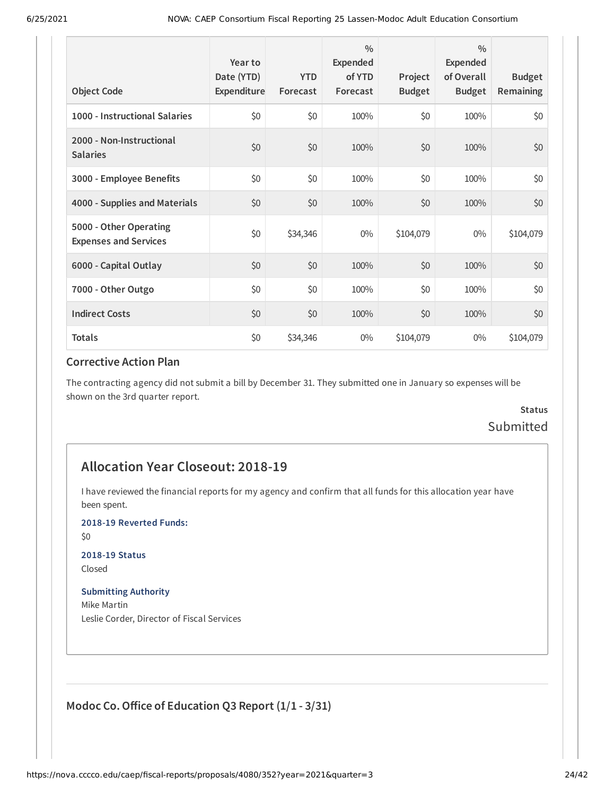| <b>Object Code</b>                                     | Year to<br>Date (YTD)<br>Expenditure | <b>YTD</b><br>Forecast | $\frac{0}{0}$<br>Expended<br>of YTD<br>Forecast | Project<br><b>Budget</b> | $\frac{0}{0}$<br>Expended<br>of Overall<br><b>Budget</b> | <b>Budget</b><br><b>Remaining</b> |
|--------------------------------------------------------|--------------------------------------|------------------------|-------------------------------------------------|--------------------------|----------------------------------------------------------|-----------------------------------|
| 1000 - Instructional Salaries                          | \$0                                  | \$0                    | 100%                                            | \$0                      | 100%                                                     | \$0                               |
| 2000 - Non-Instructional<br><b>Salaries</b>            | \$0                                  | \$0                    | 100%                                            | \$0                      | 100%                                                     | \$0                               |
| 3000 - Employee Benefits                               | \$0                                  | \$0                    | 100%                                            | \$0                      | 100%                                                     | \$0                               |
| 4000 - Supplies and Materials                          | \$0                                  | \$0                    | 100%                                            | \$0                      | 100%                                                     | \$0                               |
| 5000 - Other Operating<br><b>Expenses and Services</b> | \$0                                  | \$34,346               | $0\%$                                           | \$104,079                | $0\%$                                                    | \$104,079                         |
| 6000 - Capital Outlay                                  | \$0                                  | \$0                    | 100%                                            | \$0                      | 100%                                                     | \$0                               |
| 7000 - Other Outgo                                     | \$0                                  | \$0                    | 100%                                            | \$0                      | 100%                                                     | \$0                               |
| <b>Indirect Costs</b>                                  | \$0                                  | \$0                    | 100%                                            | \$0                      | 100%                                                     | \$0                               |
| <b>Totals</b>                                          | \$0                                  | \$34,346               | $0\%$                                           | \$104,079                | $0\%$                                                    | \$104,079                         |

The contracting agency did not submit a bill by December 31. They submitted one in January so expenses will be shown on the 3rd quarter report.

### **Status** Submitted

### **Allocation Year Closeout: 2018-19**

I have reviewed the financial reports for my agency and confirm that all funds for this allocation year have been spent.

**2018-19 Reverted Funds:**

\$0

#### **2018-19 Status**

Closed

#### **Submitting Authority**

Mike Martin Leslie Corder, Director of Fiscal Services

### **Modoc Co.Office of Education Q3 Report (1/1 - 3/31)**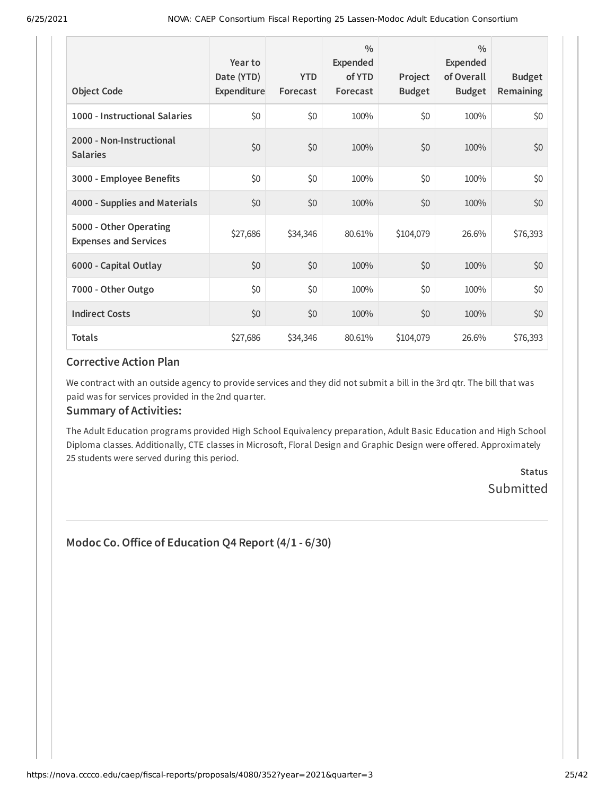| <b>Object Code</b>                                     | Year to<br>Date (YTD)<br>Expenditure | <b>YTD</b><br>Forecast | $\frac{0}{0}$<br>Expended<br>of YTD<br>Forecast | Project<br><b>Budget</b> | $\frac{0}{0}$<br>Expended<br>of Overall<br><b>Budget</b> | <b>Budget</b><br><b>Remaining</b> |
|--------------------------------------------------------|--------------------------------------|------------------------|-------------------------------------------------|--------------------------|----------------------------------------------------------|-----------------------------------|
| 1000 - Instructional Salaries                          | \$0                                  | \$0                    | 100%                                            | \$0                      | 100%                                                     | \$0                               |
| 2000 - Non-Instructional<br><b>Salaries</b>            | \$0                                  | \$0                    | 100%                                            | \$0                      | 100%                                                     | \$0                               |
| 3000 - Employee Benefits                               | \$0                                  | \$0                    | 100%                                            | \$0                      | 100%                                                     | \$0                               |
| 4000 - Supplies and Materials                          | \$0                                  | \$0                    | 100%                                            | \$0                      | 100%                                                     | \$0                               |
| 5000 - Other Operating<br><b>Expenses and Services</b> | \$27,686                             | \$34,346               | 80.61%                                          | \$104,079                | 26.6%                                                    | \$76,393                          |
| 6000 - Capital Outlay                                  | \$0                                  | \$0                    | 100%                                            | \$0                      | 100%                                                     | \$0                               |
| 7000 - Other Outgo                                     | \$0                                  | \$0                    | 100%                                            | \$0                      | 100%                                                     | \$0\$                             |
| <b>Indirect Costs</b>                                  | \$0                                  | \$0                    | 100%                                            | \$0                      | 100%                                                     | \$0                               |
| <b>Totals</b>                                          | \$27,686                             | \$34,346               | 80.61%                                          | \$104,079                | 26.6%                                                    | \$76,393                          |

We contract with an outside agency to provide services and they did not submit a bill in the 3rd qtr. The bill that was paid was for services provided in the 2nd quarter.

#### **Summary of Activities:**

The Adult Education programs provided High School Equivalency preparation, Adult Basic Education and High School Diploma classes. Additionally, CTE classes in Microsoft, Floral Design and Graphic Design were offered. Approximately 25 students were served during this period.

> **Status** Submitted

### **Modoc Co.Office of Education Q4 Report (4/1 - 6/30)**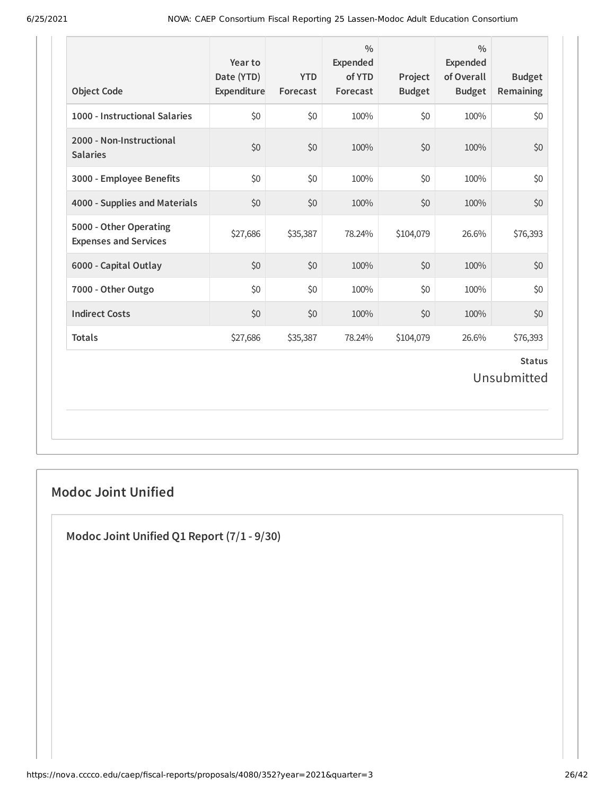| 1000 - Instructional Salaries<br>2000 - Non-Instructional<br><b>Salaries</b><br>3000 - Employee Benefits | \$0<br>\$0<br>\$0 | \$0<br>\$0<br>\$0 | 100%<br>100% | \$0<br>\$0 | 100%  | \$0                          |
|----------------------------------------------------------------------------------------------------------|-------------------|-------------------|--------------|------------|-------|------------------------------|
|                                                                                                          |                   |                   |              |            |       |                              |
|                                                                                                          |                   |                   |              |            | 100%  | \$0                          |
|                                                                                                          |                   |                   | 100%         | \$0        | 100%  | \$0                          |
| 4000 - Supplies and Materials                                                                            | \$0               | \$0               | 100%         | \$0        | 100%  | \$0                          |
| 5000 - Other Operating<br><b>Expenses and Services</b>                                                   | \$27,686          | \$35,387          | 78.24%       | \$104,079  | 26.6% | \$76,393                     |
| 6000 - Capital Outlay                                                                                    | \$0               | \$0               | 100%         | \$0        | 100%  | \$0                          |
| 7000 - Other Outgo                                                                                       | \$0               | \$0               | 100%         | \$0        | 100%  | \$0                          |
| <b>Indirect Costs</b>                                                                                    | \$0               | \$0               | 100%         | \$0        | 100%  | \$0                          |
| <b>Totals</b>                                                                                            | \$27,686          | \$35,387          | 78.24%       | \$104,079  | 26.6% | \$76,393                     |
|                                                                                                          |                   |                   |              |            |       | <b>Status</b><br>Unsubmitted |

### **Modoc Joint Unified**

**Modoc Joint Unified Q1 Report (7/1 - 9/30)**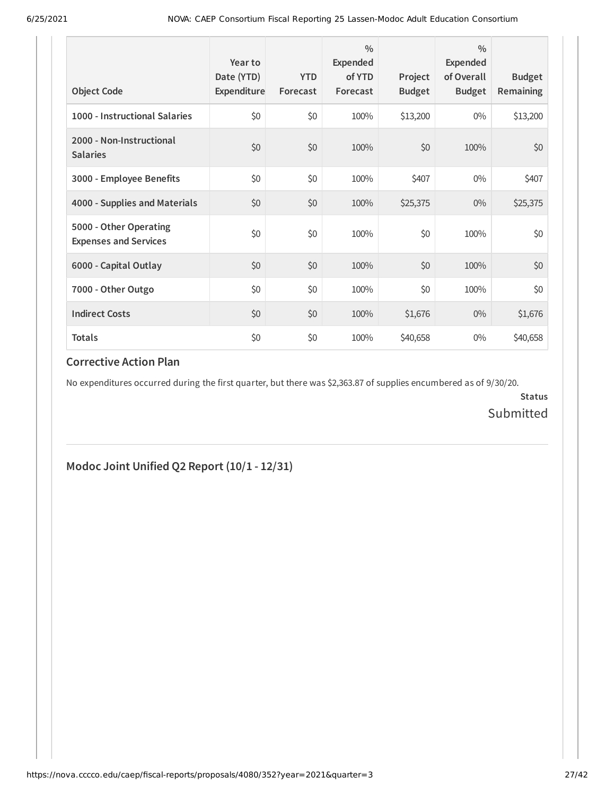| <b>Object Code</b>                                     | Year to<br>Date (YTD)<br>Expenditure | <b>YTD</b><br>Forecast | $\frac{0}{0}$<br>Expended<br>of YTD<br>Forecast | Project<br><b>Budget</b> | $\frac{0}{0}$<br>Expended<br>of Overall<br><b>Budget</b> | <b>Budget</b><br><b>Remaining</b> |
|--------------------------------------------------------|--------------------------------------|------------------------|-------------------------------------------------|--------------------------|----------------------------------------------------------|-----------------------------------|
| 1000 - Instructional Salaries                          | \$0                                  | \$0                    | 100%                                            | \$13,200                 | $0\%$                                                    | \$13,200                          |
| 2000 - Non-Instructional<br><b>Salaries</b>            | \$0                                  | \$0                    | 100%                                            | \$0                      | 100%                                                     | \$0                               |
| 3000 - Employee Benefits                               | \$0                                  | \$0                    | 100%                                            | \$407                    | $0\%$                                                    | \$407                             |
| 4000 - Supplies and Materials                          | \$0                                  | \$0                    | 100%                                            | \$25,375                 | $0\%$                                                    | \$25,375                          |
| 5000 - Other Operating<br><b>Expenses and Services</b> | \$0                                  | \$0                    | 100%                                            | \$0                      | 100%                                                     | \$0                               |
| 6000 - Capital Outlay                                  | \$0                                  | \$0                    | 100%                                            | \$0                      | 100%                                                     | \$0                               |
| 7000 - Other Outgo                                     | \$0                                  | \$0                    | 100%                                            | \$0                      | 100%                                                     | \$0\$                             |
| <b>Indirect Costs</b>                                  | \$0                                  | \$0                    | 100%                                            | \$1,676                  | $0\%$                                                    | \$1,676                           |
| <b>Totals</b>                                          | \$0                                  | \$0                    | 100%                                            | \$40,658                 | $0\%$                                                    | \$40,658                          |

No expenditures occurred during the first quarter, but there was \$2,363.87 of supplies encumbered as of 9/30/20.

**Status** Submitted

### **Modoc Joint Unified Q2 Report (10/1 - 12/31)**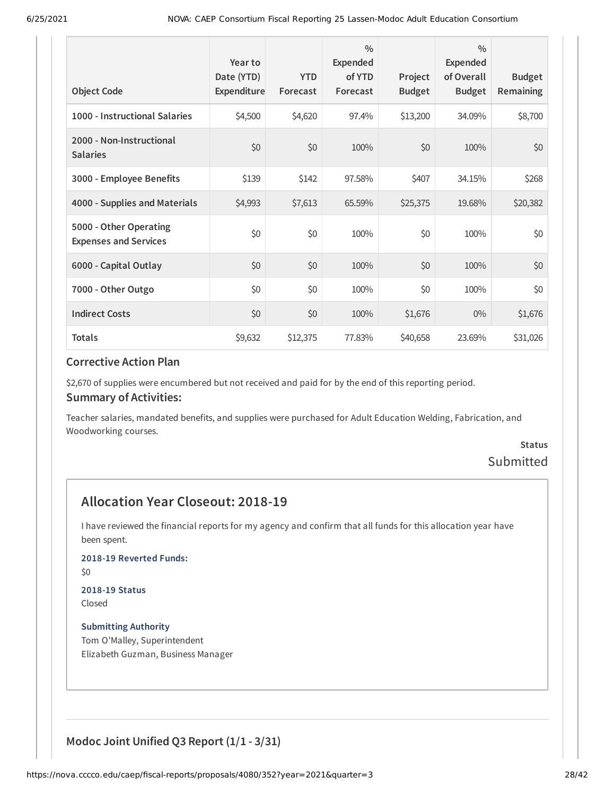| <b>Object Code</b>                                     | Year to<br>Date (YTD)<br>Expenditure | <b>YTD</b><br>Forecast | $\frac{0}{0}$<br>Expended<br>of YTD<br>Forecast | Project<br><b>Budget</b> | $\frac{0}{0}$<br>Expended<br>of Overall<br><b>Budget</b> | <b>Budget</b><br><b>Remaining</b> |
|--------------------------------------------------------|--------------------------------------|------------------------|-------------------------------------------------|--------------------------|----------------------------------------------------------|-----------------------------------|
| 1000 - Instructional Salaries                          | \$4,500                              | \$4,620                | 97.4%                                           | \$13,200                 | 34.09%                                                   | \$8,700                           |
| 2000 - Non-Instructional<br><b>Salaries</b>            | \$0                                  | \$0                    | 100%                                            | \$0                      | 100%                                                     | \$0                               |
| 3000 - Employee Benefits                               | \$139                                | \$142                  | 97.58%                                          | \$407                    | 34.15%                                                   | \$268                             |
| 4000 - Supplies and Materials                          | \$4,993                              | \$7,613                | 65.59%                                          | \$25,375                 | 19.68%                                                   | \$20,382                          |
| 5000 - Other Operating<br><b>Expenses and Services</b> | \$0                                  | \$0                    | 100%                                            | \$0                      | 100%                                                     | \$0                               |
| 6000 - Capital Outlay                                  | \$0                                  | \$0                    | 100%                                            | \$0                      | 100%                                                     | \$0                               |
| 7000 - Other Outgo                                     | \$0                                  | \$0                    | 100%                                            | \$0                      | 100%                                                     | \$0\$                             |
| <b>Indirect Costs</b>                                  | \$0                                  | \$0                    | 100%                                            | \$1,676                  | $0\%$                                                    | \$1,676                           |
| <b>Totals</b>                                          | \$9,632                              | \$12,375               | 77.83%                                          | \$40,658                 | 23.69%                                                   | \$31,026                          |

\$2,670 of supplies were encumbered but not received and paid for by the end of this reporting period.

#### **Summary of Activities:**

Teacher salaries, mandated benefits, and supplies were purchased for Adult Education Welding, Fabrication, and Woodworking courses.

### **Status** Submitted

### **Allocation Year Closeout: 2018-19**

I have reviewed the financial reports for my agency and confirm that all funds for this allocation year have been spent.

**2018-19 Reverted Funds:**

\$0

# **2018-19 Status**

Closed

**Submitting Authority** Tom O'Malley, Superintendent Elizabeth Guzman, Business Manager

**Modoc Joint Unified Q3 Report (1/1 - 3/31)**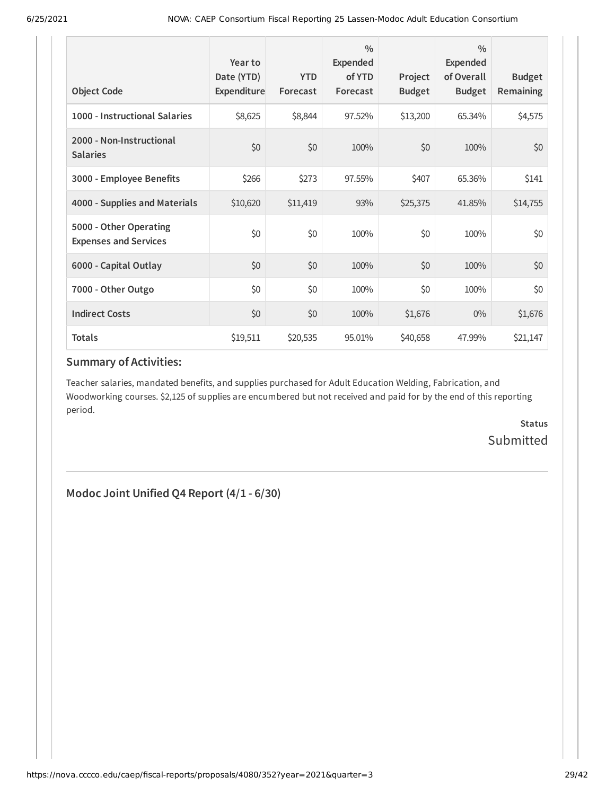| <b>Object Code</b>                                     | Year to<br>Date (YTD)<br>Expenditure | <b>YTD</b><br>Forecast | $\frac{0}{0}$<br>Expended<br>of YTD<br>Forecast | Project<br><b>Budget</b> | $\frac{0}{0}$<br>Expended<br>of Overall<br><b>Budget</b> | <b>Budget</b><br><b>Remaining</b> |
|--------------------------------------------------------|--------------------------------------|------------------------|-------------------------------------------------|--------------------------|----------------------------------------------------------|-----------------------------------|
| 1000 - Instructional Salaries                          | \$8,625                              | \$8,844                | 97.52%                                          | \$13,200                 | 65.34%                                                   | \$4,575                           |
| 2000 - Non-Instructional<br><b>Salaries</b>            | \$0                                  | \$0                    | 100%                                            | \$0                      | 100%                                                     | \$0                               |
| 3000 - Employee Benefits                               | \$266                                | \$273                  | 97.55%                                          | \$407                    | 65.36%                                                   | \$141                             |
| 4000 - Supplies and Materials                          | \$10,620                             | \$11,419               | 93%                                             | \$25,375                 | 41.85%                                                   | \$14,755                          |
| 5000 - Other Operating<br><b>Expenses and Services</b> | \$0                                  | \$0                    | 100%                                            | \$0                      | 100%                                                     | \$0                               |
| 6000 - Capital Outlay                                  | \$0                                  | \$0                    | 100%                                            | \$0                      | 100%                                                     | \$0                               |
| 7000 - Other Outgo                                     | \$0                                  | \$0                    | 100%                                            | \$0                      | 100%                                                     | \$0                               |
| <b>Indirect Costs</b>                                  | \$0                                  | \$0                    | 100%                                            | \$1,676                  | $0\%$                                                    | \$1,676                           |
| <b>Totals</b>                                          | \$19,511                             | \$20,535               | 95.01%                                          | \$40,658                 | 47.99%                                                   | \$21,147                          |

Teacher salaries, mandated benefits, and supplies purchased for Adult Education Welding, Fabrication, and Woodworking courses. \$2,125 of supplies are encumbered but not received and paid for by the end of this reporting period.

> **Status** Submitted

**Modoc Joint Unified Q4 Report (4/1 - 6/30)**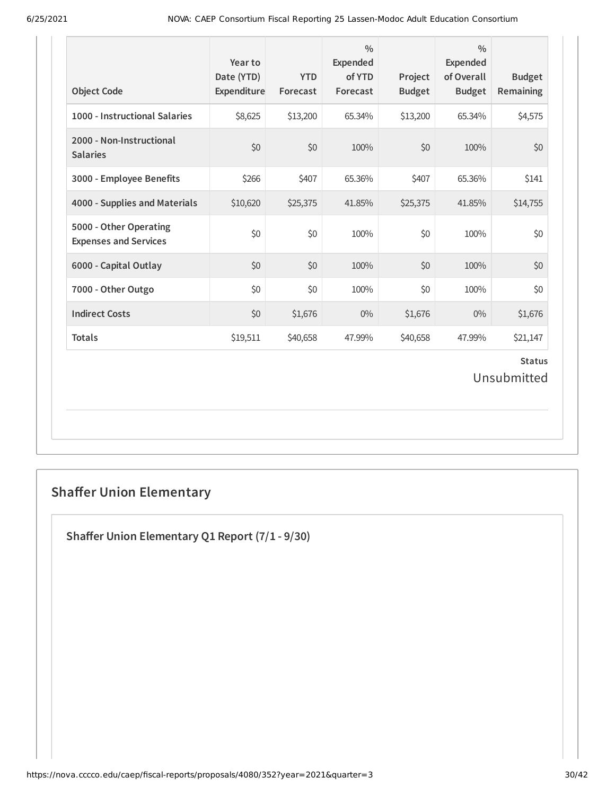| <b>Object Code</b>                                     | Year to<br>Date (YTD)<br>Expenditure | <b>YTD</b><br>Forecast | $\frac{0}{0}$<br><b>Expended</b><br>of YTD<br>Forecast | Project<br><b>Budget</b> | $\frac{0}{0}$<br><b>Expended</b><br>of Overall<br><b>Budget</b> | <b>Budget</b><br>Remaining   |
|--------------------------------------------------------|--------------------------------------|------------------------|--------------------------------------------------------|--------------------------|-----------------------------------------------------------------|------------------------------|
| 1000 - Instructional Salaries                          | \$8,625                              | \$13,200               | 65.34%                                                 | \$13,200                 | 65.34%                                                          | \$4,575                      |
| 2000 - Non-Instructional<br><b>Salaries</b>            | \$0                                  | \$0                    | 100%                                                   | \$0                      | 100%                                                            | \$0                          |
| 3000 - Employee Benefits                               | \$266                                | \$407                  | 65.36%                                                 | \$407                    | 65.36%                                                          | \$141                        |
| 4000 - Supplies and Materials                          | \$10,620                             | \$25,375               | 41.85%                                                 | \$25,375                 | 41.85%                                                          | \$14,755                     |
| 5000 - Other Operating<br><b>Expenses and Services</b> | \$0                                  | \$0                    | 100%                                                   | \$0                      | 100%                                                            | \$0                          |
| 6000 - Capital Outlay                                  | \$0                                  | \$0                    | 100%                                                   | \$0                      | 100%                                                            | \$0                          |
| 7000 - Other Outgo                                     | \$0                                  | \$0                    | 100%                                                   | \$0                      | 100%                                                            | \$0                          |
| <b>Indirect Costs</b>                                  | \$0                                  | \$1,676                | $0\%$                                                  | \$1,676                  | $0\%$                                                           | \$1,676                      |
| <b>Totals</b>                                          | \$19,511                             | \$40,658               | 47.99%                                                 | \$40,658                 | 47.99%                                                          | \$21,147                     |
|                                                        |                                      |                        |                                                        |                          |                                                                 | <b>Status</b><br>Unsubmitted |

# **Shaffer Union Elementary**

**Shaffer Union Elementary Q1 Report (7/1 - 9/30)**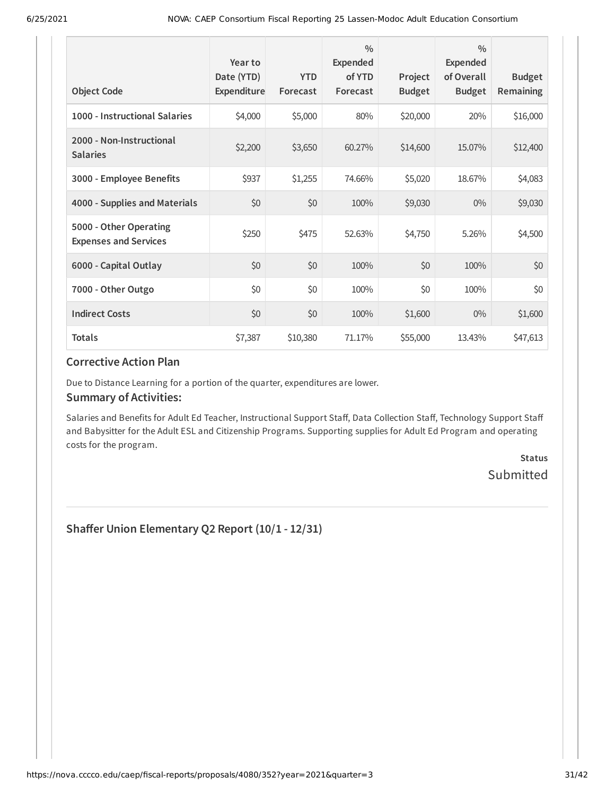| <b>Object Code</b>                                     | Year to<br>Date (YTD)<br>Expenditure | <b>YTD</b><br>Forecast | $\frac{0}{0}$<br>Expended<br>of YTD<br>Forecast | Project<br><b>Budget</b> | $\frac{0}{0}$<br>Expended<br>of Overall<br><b>Budget</b> | <b>Budget</b><br><b>Remaining</b> |
|--------------------------------------------------------|--------------------------------------|------------------------|-------------------------------------------------|--------------------------|----------------------------------------------------------|-----------------------------------|
| 1000 - Instructional Salaries                          | \$4,000                              | \$5,000                | 80%                                             | \$20,000                 | 20%                                                      | \$16,000                          |
| 2000 - Non-Instructional<br><b>Salaries</b>            | \$2,200                              | \$3,650                | 60.27%                                          | \$14,600                 | 15.07%                                                   | \$12,400                          |
| 3000 - Employee Benefits                               | \$937                                | \$1,255                | 74.66%                                          | \$5,020                  | 18.67%                                                   | \$4,083                           |
| 4000 - Supplies and Materials                          | \$0                                  | \$0                    | 100%                                            | \$9,030                  | $0\%$                                                    | \$9,030                           |
| 5000 - Other Operating<br><b>Expenses and Services</b> | \$250                                | \$475                  | 52.63%                                          | \$4,750                  | 5.26%                                                    | \$4,500                           |
| 6000 - Capital Outlay                                  | \$0                                  | \$0                    | 100%                                            | \$0                      | 100%                                                     | \$0                               |
| 7000 - Other Outgo                                     | \$0                                  | \$0                    | 100%                                            | \$0                      | 100%                                                     | \$0                               |
| <b>Indirect Costs</b>                                  | \$0                                  | \$0                    | 100%                                            | \$1,600                  | $0\%$                                                    | \$1,600                           |
| <b>Totals</b>                                          | \$7,387                              | \$10,380               | 71.17%                                          | \$55,000                 | 13.43%                                                   | \$47,613                          |

Due to Distance Learning for a portion of the quarter, expenditures are lower.

#### **Summary of Activities:**

Salaries and Benefits for Adult Ed Teacher, Instructional Support Staff, Data Collection Staff, Technology Support Staff and Babysitter for the Adult ESL and Citizenship Programs. Supporting supplies for Adult Ed Program and operating costs for the program.

> **Status** Submitted

**Shaffer Union Elementary Q2 Report (10/1 - 12/31)**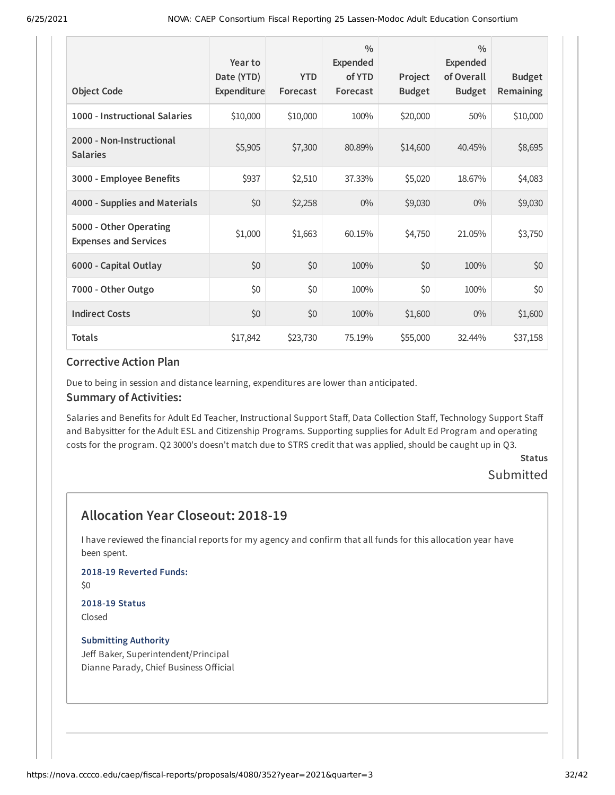| <b>Object Code</b>                                     | Year to<br>Date (YTD)<br>Expenditure | <b>YTD</b><br>Forecast | $\frac{0}{0}$<br><b>Expended</b><br>of YTD<br>Forecast | Project<br><b>Budget</b> | $\frac{0}{0}$<br>Expended<br>of Overall<br><b>Budget</b> | <b>Budget</b><br>Remaining |
|--------------------------------------------------------|--------------------------------------|------------------------|--------------------------------------------------------|--------------------------|----------------------------------------------------------|----------------------------|
| 1000 - Instructional Salaries                          | \$10,000                             | \$10,000               | 100%                                                   | \$20,000                 | 50%                                                      | \$10,000                   |
| 2000 - Non-Instructional<br><b>Salaries</b>            | \$5,905                              | \$7,300                | 80.89%                                                 | \$14,600                 | 40.45%                                                   | \$8,695                    |
| 3000 - Employee Benefits                               | \$937                                | \$2,510                | 37.33%                                                 | \$5,020                  | 18.67%                                                   | \$4,083                    |
| 4000 - Supplies and Materials                          | \$0                                  | \$2,258                | $0\%$                                                  | \$9,030                  | $0\%$                                                    | \$9,030                    |
| 5000 - Other Operating<br><b>Expenses and Services</b> | \$1,000                              | \$1,663                | 60.15%                                                 | \$4,750                  | 21.05%                                                   | \$3,750                    |
| 6000 - Capital Outlay                                  | \$0                                  | \$0                    | 100%                                                   | \$0                      | 100%                                                     | \$0                        |
| 7000 - Other Outgo                                     | \$0                                  | \$0                    | 100%                                                   | \$0                      | 100%                                                     | \$0                        |
| <b>Indirect Costs</b>                                  | \$0                                  | \$0                    | 100%                                                   | \$1,600                  | $0\%$                                                    | \$1,600                    |
| <b>Totals</b>                                          | \$17,842                             | \$23,730               | 75.19%                                                 | \$55,000                 | 32.44%                                                   | \$37,158                   |

Due to being in session and distance learning, expenditures are lower than anticipated.

#### **Summary of Activities:**

Salaries and Benefits for Adult Ed Teacher, Instructional Support Staff, Data Collection Staff, Technology Support Staff and Babysitter for the Adult ESL and Citizenship Programs. Supporting supplies for Adult Ed Program and operating costs for the program. Q2 3000's doesn't match due to STRS credit that was applied, should be caught up in Q3.

**Status**

# Submitted

### **Allocation Year Closeout: 2018-19**

I have reviewed the financial reports for my agency and confirm that all funds for this allocation year have been spent.

### **2018-19 Reverted Funds:**

\$0

#### **2018-19 Status** Closed

#### **Submitting Authority**

Jeff Baker, Superintendent/Principal Dianne Parady, Chief Business Official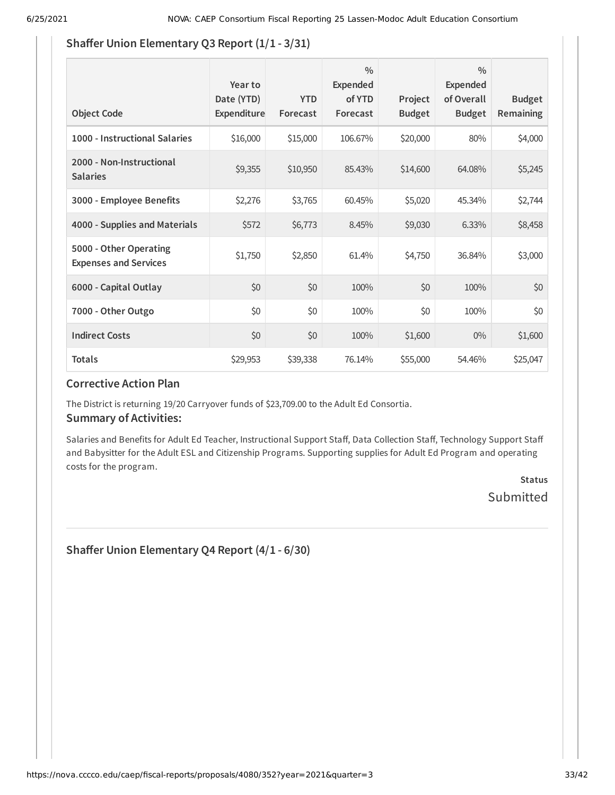### **Shaffer Union Elementary Q3 Report (1/1 - 3/31)**

| <b>Object Code</b>                                     | Year to<br>Date (YTD)<br>Expenditure | <b>YTD</b><br>Forecast | $\frac{0}{0}$<br>Expended<br>of YTD<br>Forecast | Project<br><b>Budget</b> | $\frac{0}{0}$<br>Expended<br>of Overall<br><b>Budget</b> | <b>Budget</b><br>Remaining |
|--------------------------------------------------------|--------------------------------------|------------------------|-------------------------------------------------|--------------------------|----------------------------------------------------------|----------------------------|
| 1000 - Instructional Salaries                          | \$16,000                             | \$15,000               | 106.67%                                         | \$20,000                 | 80%                                                      | \$4,000                    |
| 2000 - Non-Instructional<br><b>Salaries</b>            | \$9,355                              | \$10,950               | 85.43%                                          | \$14,600                 | 64.08%                                                   | \$5,245                    |
| 3000 - Employee Benefits                               | \$2,276                              | \$3,765                | 60.45%                                          | \$5,020                  | 45.34%                                                   | \$2,744                    |
| 4000 - Supplies and Materials                          | \$572                                | \$6,773                | 8.45%                                           | \$9,030                  | 6.33%                                                    | \$8,458                    |
| 5000 - Other Operating<br><b>Expenses and Services</b> | \$1,750                              | \$2,850                | 61.4%                                           | \$4,750                  | 36.84%                                                   | \$3,000                    |
| 6000 - Capital Outlay                                  | \$0                                  | \$0                    | 100%                                            | \$0                      | 100%                                                     | \$0                        |
| 7000 - Other Outgo                                     | \$0                                  | \$0                    | 100%                                            | \$0                      | 100%                                                     | \$0                        |
| <b>Indirect Costs</b>                                  | \$0                                  | \$0                    | 100%                                            | \$1,600                  | $0\%$                                                    | \$1,600                    |
| <b>Totals</b>                                          | \$29,953                             | \$39,338               | 76.14%                                          | \$55,000                 | 54.46%                                                   | \$25,047                   |

### **Corrective Action Plan**

The District is returning 19/20 Carryover funds of \$23,709.00 to the Adult Ed Consortia.

#### **Summary of Activities:**

Salaries and Benefits for Adult Ed Teacher, Instructional Support Staff, Data Collection Staff, Technology Support Staff and Babysitter for the Adult ESL and Citizenship Programs. Supporting supplies for Adult Ed Program and operating costs for the program.

### **Status** Submitted

**Shaffer Union Elementary Q4 Report (4/1 - 6/30)**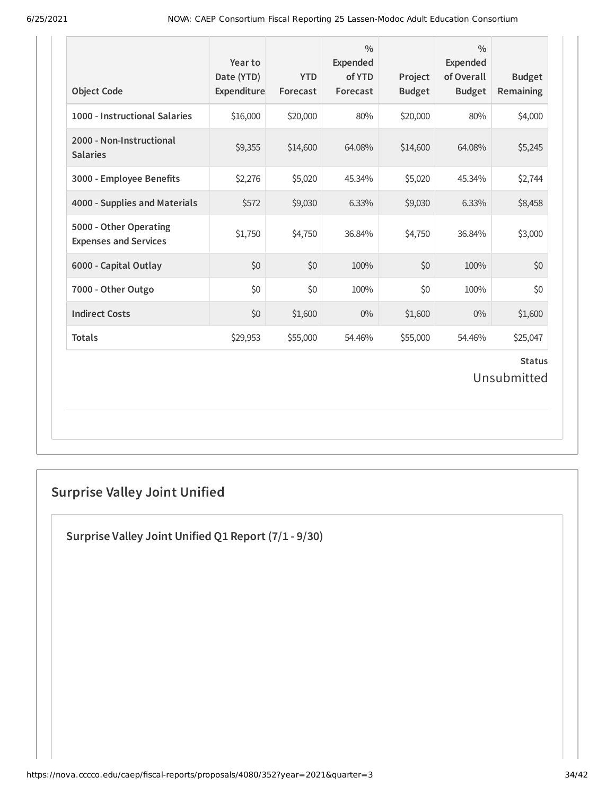| <b>Object Code</b>                                     | Year to<br>Date (YTD)<br>Expenditure | <b>YTD</b><br>Forecast | $\frac{0}{0}$<br><b>Expended</b><br>of YTD<br>Forecast | Project<br><b>Budget</b> | $\frac{0}{0}$<br><b>Expended</b><br>of Overall<br><b>Budget</b> | <b>Budget</b><br><b>Remaining</b> |
|--------------------------------------------------------|--------------------------------------|------------------------|--------------------------------------------------------|--------------------------|-----------------------------------------------------------------|-----------------------------------|
| 1000 - Instructional Salaries                          | \$16,000                             | \$20,000               | 80%                                                    | \$20,000                 | 80%                                                             | \$4,000                           |
| 2000 - Non-Instructional<br><b>Salaries</b>            | \$9,355                              | \$14,600               | 64.08%                                                 | \$14,600                 | 64.08%                                                          | \$5,245                           |
| 3000 - Employee Benefits                               | \$2,276                              | \$5,020                | 45.34%                                                 | \$5,020                  | 45.34%                                                          | \$2,744                           |
| 4000 - Supplies and Materials                          | \$572                                | \$9,030                | 6.33%                                                  | \$9,030                  | 6.33%                                                           | \$8,458                           |
| 5000 - Other Operating<br><b>Expenses and Services</b> | \$1,750                              | \$4,750                | 36.84%                                                 | \$4,750                  | 36.84%                                                          | \$3,000                           |
| 6000 - Capital Outlay                                  | \$0                                  | \$0                    | 100%                                                   | \$0                      | 100%                                                            | \$0                               |
| 7000 - Other Outgo                                     | \$0                                  | \$0                    | 100%                                                   | \$0                      | 100%                                                            | \$0                               |
| <b>Indirect Costs</b>                                  | \$0                                  | \$1,600                | $0\%$                                                  | \$1,600                  | $0\%$                                                           | \$1,600                           |
| <b>Totals</b>                                          | \$29,953                             | \$55,000               | 54.46%                                                 | \$55,000                 | 54.46%                                                          | \$25,047                          |
|                                                        |                                      |                        |                                                        |                          |                                                                 | <b>Status</b><br>Unsubmitted      |

# **Surprise Valley Joint Unified**

**Surprise Valley Joint Unified Q1 Report (7/1 - 9/30)**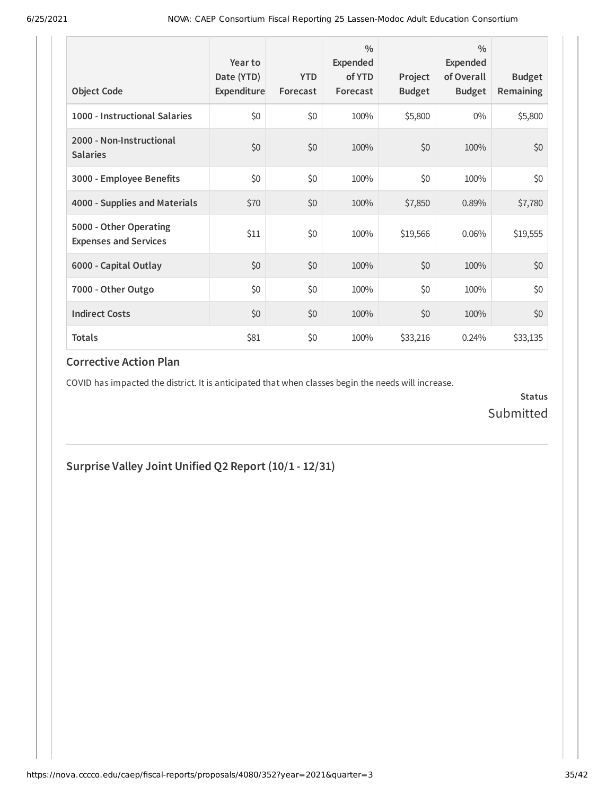| <b>Object Code</b>                                     | Year to<br>Date (YTD)<br>Expenditure | <b>YTD</b><br>Forecast | $\frac{0}{0}$<br>Expended<br>of YTD<br>Forecast | Project<br><b>Budget</b> | $\frac{0}{0}$<br>Expended<br>of Overall<br><b>Budget</b> | <b>Budget</b><br><b>Remaining</b> |
|--------------------------------------------------------|--------------------------------------|------------------------|-------------------------------------------------|--------------------------|----------------------------------------------------------|-----------------------------------|
| 1000 - Instructional Salaries                          | \$0                                  | \$0                    | 100%                                            | \$5,800                  | $0\%$                                                    | \$5,800                           |
| 2000 - Non-Instructional<br><b>Salaries</b>            | \$0                                  | \$0                    | 100%                                            | \$0                      | 100%                                                     | \$0                               |
| 3000 - Employee Benefits                               | \$0                                  | \$0                    | 100%                                            | \$0                      | 100%                                                     | \$0                               |
| 4000 - Supplies and Materials                          | \$70                                 | \$0                    | 100%                                            | \$7,850                  | 0.89%                                                    | \$7,780                           |
| 5000 - Other Operating<br><b>Expenses and Services</b> | \$11                                 | \$0                    | 100%                                            | \$19,566                 | 0.06%                                                    | \$19,555                          |
| 6000 - Capital Outlay                                  | \$0                                  | \$0                    | 100%                                            | \$0                      | 100%                                                     | \$0                               |
| 7000 - Other Outgo                                     | \$0                                  | \$0                    | 100%                                            | \$0                      | 100%                                                     | \$0\$                             |
| <b>Indirect Costs</b>                                  | \$0                                  | \$0                    | 100%                                            | \$0                      | 100%                                                     | \$0                               |
| <b>Totals</b>                                          | \$81                                 | \$0                    | 100%                                            | \$33,216                 | 0.24%                                                    | \$33,135                          |

COVID has impacted the district. It is anticipated that when classes begin the needs will increase.

**Status** Submitted

**Surprise Valley Joint Unified Q2 Report (10/1 - 12/31)**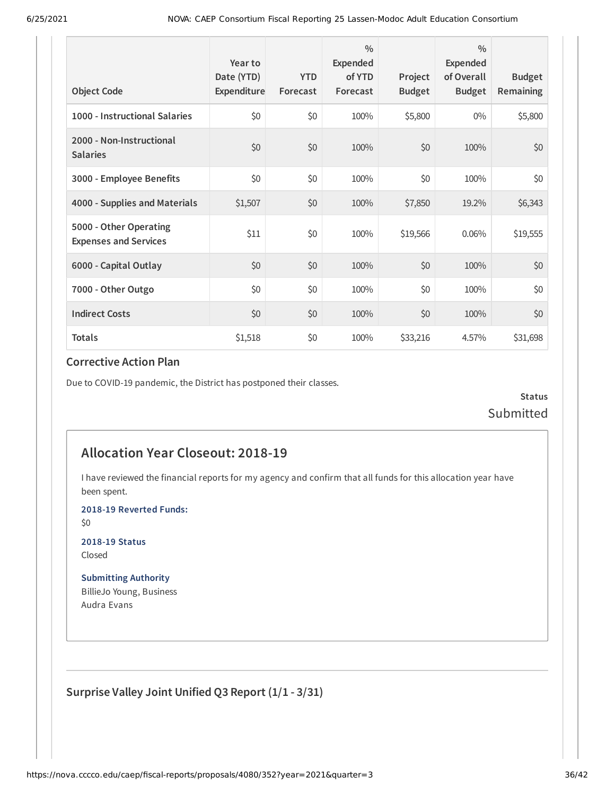| <b>Object Code</b>                                     | Year to<br>Date (YTD)<br>Expenditure | <b>YTD</b><br>Forecast | $\frac{0}{0}$<br>Expended<br>of YTD<br>Forecast | Project<br><b>Budget</b> | $\frac{0}{0}$<br>Expended<br>of Overall<br><b>Budget</b> | <b>Budget</b><br>Remaining |
|--------------------------------------------------------|--------------------------------------|------------------------|-------------------------------------------------|--------------------------|----------------------------------------------------------|----------------------------|
| 1000 - Instructional Salaries                          | \$0                                  | \$0                    | 100%                                            | \$5,800                  | $0\%$                                                    | \$5,800                    |
| 2000 - Non-Instructional<br><b>Salaries</b>            | \$0                                  | \$0                    | 100%                                            | \$0                      | 100%                                                     | \$0                        |
| 3000 - Employee Benefits                               | \$0                                  | \$0                    | 100%                                            | \$0                      | 100%                                                     | \$0                        |
| 4000 - Supplies and Materials                          | \$1,507                              | \$0                    | 100%                                            | \$7,850                  | 19.2%                                                    | \$6,343                    |
| 5000 - Other Operating<br><b>Expenses and Services</b> | \$11                                 | \$0                    | 100%                                            | \$19,566                 | 0.06%                                                    | \$19,555                   |
| 6000 - Capital Outlay                                  | \$0                                  | \$0                    | 100%                                            | \$0                      | 100%                                                     | \$0                        |
| 7000 - Other Outgo                                     | \$0                                  | \$0                    | 100%                                            | \$0                      | 100%                                                     | \$0                        |
| <b>Indirect Costs</b>                                  | \$0                                  | \$0                    | 100%                                            | \$0                      | 100%                                                     | \$0                        |
| <b>Totals</b>                                          | \$1,518                              | \$0                    | 100%                                            | \$33,216                 | 4.57%                                                    | \$31,698                   |

Due to COVID-19 pandemic, the District has postponed their classes.

**Status** Submitted

### **Allocation Year Closeout: 2018-19**

I have reviewed the financial reports for my agency and confirm that all funds for this allocation year have been spent.

**2018-19 Reverted Funds:**

\$0

**2018-19 Status** Closed

**Submitting Authority** BillieJo Young, Business Audra Evans

**Surprise Valley Joint Unified Q3 Report (1/1 - 3/31)**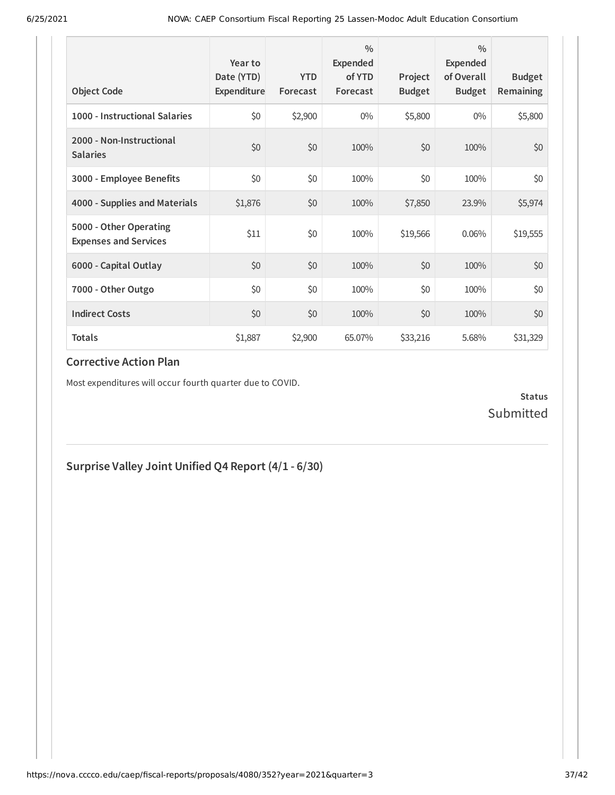| <b>Object Code</b>                                     | Year to<br>Date (YTD)<br>Expenditure | <b>YTD</b><br>Forecast | $\frac{0}{0}$<br>Expended<br>of YTD<br>Forecast | Project<br><b>Budget</b> | $\frac{0}{0}$<br>Expended<br>of Overall<br><b>Budget</b> | <b>Budget</b><br><b>Remaining</b> |
|--------------------------------------------------------|--------------------------------------|------------------------|-------------------------------------------------|--------------------------|----------------------------------------------------------|-----------------------------------|
| 1000 - Instructional Salaries                          | \$0                                  | \$2,900                | $0\%$                                           | \$5,800                  | $0\%$                                                    | \$5,800                           |
| 2000 - Non-Instructional<br><b>Salaries</b>            | \$0                                  | \$0                    | 100%                                            | \$0                      | 100%                                                     | \$0                               |
| 3000 - Employee Benefits                               | \$0                                  | \$0                    | 100%                                            | \$0                      | 100%                                                     | \$0                               |
| 4000 - Supplies and Materials                          | \$1,876                              | \$0                    | 100%                                            | \$7,850                  | 23.9%                                                    | \$5,974                           |
| 5000 - Other Operating<br><b>Expenses and Services</b> | \$11                                 | \$0                    | 100%                                            | \$19,566                 | 0.06%                                                    | \$19,555                          |
| 6000 - Capital Outlay                                  | \$0                                  | \$0                    | 100%                                            | \$0                      | 100%                                                     | \$0                               |
| 7000 - Other Outgo                                     | \$0                                  | \$0                    | 100%                                            | \$0                      | 100%                                                     | \$0                               |
| <b>Indirect Costs</b>                                  | \$0                                  | \$0                    | 100%                                            | \$0                      | 100%                                                     | \$0                               |
| <b>Totals</b>                                          | \$1,887                              | \$2,900                | 65.07%                                          | \$33,216                 | 5.68%                                                    | \$31,329                          |

Most expenditures will occur fourth quarter due to COVID.

### **Status** Submitted

### **Surprise Valley Joint Unified Q4 Report (4/1 - 6/30)**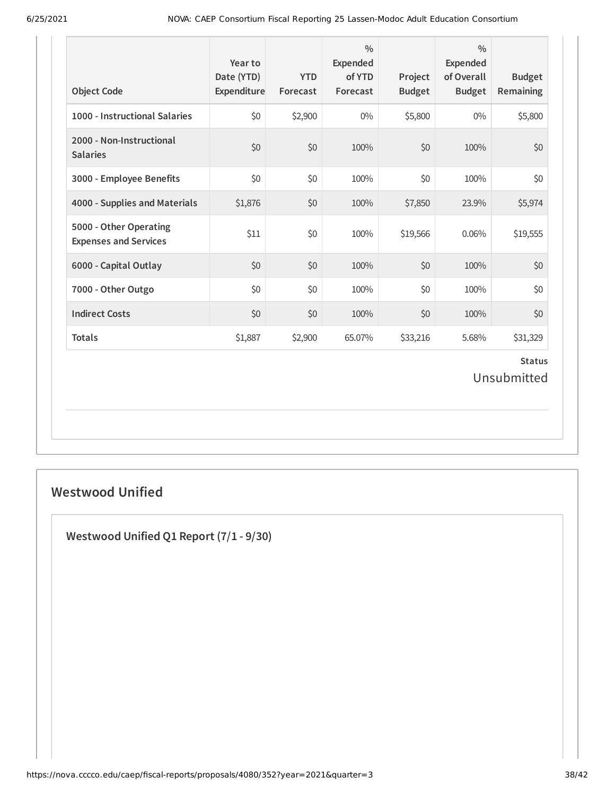| <b>Object Code</b>                                     | Year to<br>Date (YTD)<br>Expenditure | <b>YTD</b><br>Forecast | $\frac{0}{0}$<br>Expended<br>of YTD<br>Forecast | Project<br><b>Budget</b> | $\frac{0}{0}$<br><b>Expended</b><br>of Overall<br><b>Budget</b> | <b>Budget</b><br>Remaining   |
|--------------------------------------------------------|--------------------------------------|------------------------|-------------------------------------------------|--------------------------|-----------------------------------------------------------------|------------------------------|
| 1000 - Instructional Salaries                          | \$0                                  | \$2,900                | $0\%$                                           | \$5,800                  | $0\%$                                                           | \$5,800                      |
| 2000 - Non-Instructional<br><b>Salaries</b>            | \$0                                  | \$0                    | 100%                                            | \$0                      | 100%                                                            | \$0                          |
| 3000 - Employee Benefits                               | \$0                                  | \$0                    | 100%                                            | \$0                      | 100%                                                            | \$0                          |
| 4000 - Supplies and Materials                          | \$1,876                              | \$0                    | 100%                                            | \$7,850                  | 23.9%                                                           | \$5,974                      |
| 5000 - Other Operating<br><b>Expenses and Services</b> | \$11                                 | \$0                    | 100%                                            | \$19,566                 | 0.06%                                                           | \$19,555                     |
| 6000 - Capital Outlay                                  | \$0                                  | \$0                    | 100%                                            | \$0                      | 100%                                                            | \$0                          |
| 7000 - Other Outgo                                     | \$0                                  | \$0                    | 100%                                            | \$0                      | 100%                                                            | \$0                          |
| <b>Indirect Costs</b>                                  | \$0                                  | \$0                    | 100%                                            | \$0                      | 100%                                                            | \$0                          |
| <b>Totals</b>                                          | \$1,887                              | \$2,900                | 65.07%                                          | \$33,216                 | 5.68%                                                           | \$31,329                     |
|                                                        |                                      |                        |                                                 |                          |                                                                 | <b>Status</b><br>Unsubmitted |

### **Westwood Unified**

**Westwood Unified Q1 Report (7/1 - 9/30)**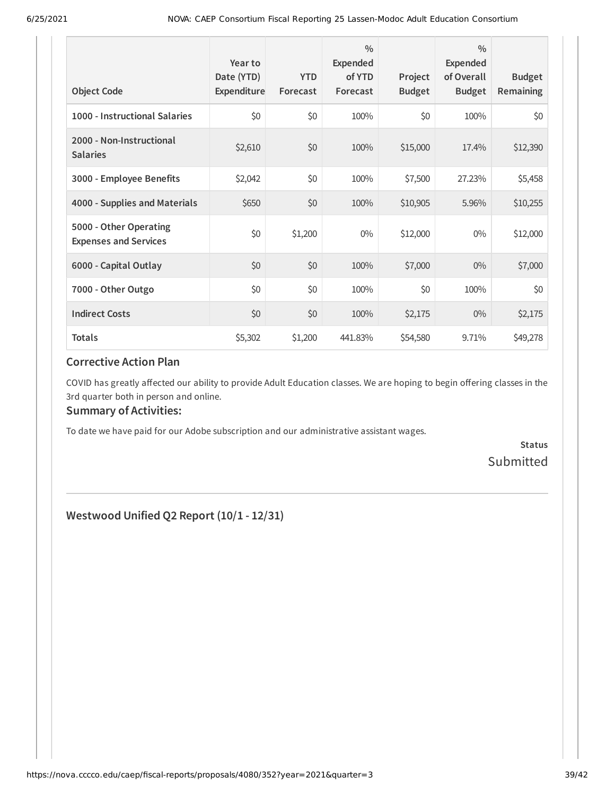| <b>Object Code</b>                                     | Year to<br>Date (YTD)<br>Expenditure | <b>YTD</b><br>Forecast | $\frac{0}{0}$<br>Expended<br>of YTD<br>Forecast | Project<br><b>Budget</b> | $\frac{0}{0}$<br>Expended<br>of Overall<br><b>Budget</b> | <b>Budget</b><br>Remaining |
|--------------------------------------------------------|--------------------------------------|------------------------|-------------------------------------------------|--------------------------|----------------------------------------------------------|----------------------------|
| 1000 - Instructional Salaries                          | \$0                                  | \$0                    | 100%                                            | \$0                      | 100%                                                     | \$0                        |
| 2000 - Non-Instructional<br><b>Salaries</b>            | \$2,610                              | \$0                    | 100%                                            | \$15,000                 | 17.4%                                                    | \$12,390                   |
| 3000 - Employee Benefits                               | \$2,042                              | \$0                    | 100%                                            | \$7,500                  | 27.23%                                                   | \$5,458                    |
| 4000 - Supplies and Materials                          | \$650                                | \$0                    | 100%                                            | \$10,905                 | 5.96%                                                    | \$10,255                   |
| 5000 - Other Operating<br><b>Expenses and Services</b> | \$0                                  | \$1,200                | $0\%$                                           | \$12,000                 | $0\%$                                                    | \$12,000                   |
| 6000 - Capital Outlay                                  | \$0                                  | \$0                    | 100%                                            | \$7,000                  | $0\%$                                                    | \$7,000                    |
| 7000 - Other Outgo                                     | \$0                                  | \$0                    | 100%                                            | \$0                      | 100%                                                     | \$0                        |
| <b>Indirect Costs</b>                                  | \$0                                  | \$0                    | 100%                                            | \$2,175                  | $0\%$                                                    | \$2,175                    |
| <b>Totals</b>                                          | \$5,302                              | \$1,200                | 441.83%                                         | \$54,580                 | 9.71%                                                    | \$49,278                   |

COVID has greatly affected our ability to provide Adult Education classes. We are hoping to begin offering classes in the 3rd quarter both in person and online.

### **Summary of Activities:**

To date we have paid for our Adobe subscription and our administrative assistant wages.

**Status** Submitted

**Westwood Unified Q2 Report (10/1 - 12/31)**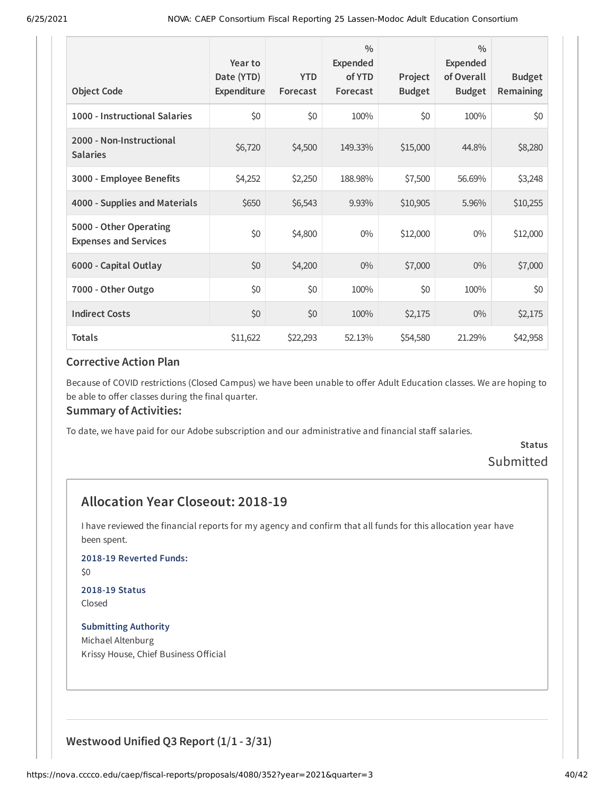| <b>Object Code</b>                                     | Year to<br>Date (YTD)<br>Expenditure | <b>YTD</b><br>Forecast | $\frac{0}{0}$<br>Expended<br>of YTD<br>Forecast | Project<br><b>Budget</b> | $\frac{0}{0}$<br>Expended<br>of Overall<br><b>Budget</b> | <b>Budget</b><br>Remaining |
|--------------------------------------------------------|--------------------------------------|------------------------|-------------------------------------------------|--------------------------|----------------------------------------------------------|----------------------------|
| 1000 - Instructional Salaries                          | \$0                                  | \$0                    | 100%                                            | \$0                      | 100%                                                     | \$0                        |
| 2000 - Non-Instructional<br><b>Salaries</b>            | \$6,720                              | \$4,500                | 149.33%                                         | \$15,000                 | 44.8%                                                    | \$8,280                    |
| 3000 - Employee Benefits                               | \$4,252                              | \$2,250                | 188.98%                                         | \$7,500                  | 56.69%                                                   | \$3,248                    |
| 4000 - Supplies and Materials                          | \$650                                | \$6,543                | 9.93%                                           | \$10,905                 | 5.96%                                                    | \$10,255                   |
| 5000 - Other Operating<br><b>Expenses and Services</b> | \$0                                  | \$4,800                | $0\%$                                           | \$12,000                 | $0\%$                                                    | \$12,000                   |
| 6000 - Capital Outlay                                  | \$0                                  | \$4,200                | $0\%$                                           | \$7,000                  | $0\%$                                                    | \$7,000                    |
| 7000 - Other Outgo                                     | \$0                                  | \$0                    | 100%                                            | \$0                      | 100%                                                     | \$0                        |
| <b>Indirect Costs</b>                                  | \$0                                  | \$0                    | 100%                                            | \$2,175                  | $0\%$                                                    | \$2,175                    |
| <b>Totals</b>                                          | \$11,622                             | \$22,293               | 52.13%                                          | \$54,580                 | 21.29%                                                   | \$42,958                   |

Because of COVID restrictions (Closed Campus) we have been unable to offer Adult Education classes. We are hoping to be able to offer classes during the final quarter.

#### **Summary of Activities:**

To date, we have paid for our Adobe subscription and our administrative and financial staff salaries.

### **Status** Submitted

### **Allocation Year Closeout: 2018-19**

I have reviewed the financial reports for my agency and confirm that all funds for this allocation year have been spent.

**2018-19 Reverted Funds:**

\$0

# **2018-19 Status**

Closed

**Submitting Authority** Michael Altenburg Krissy House, Chief Business Official

### **Westwood Unified Q3 Report (1/1 - 3/31)**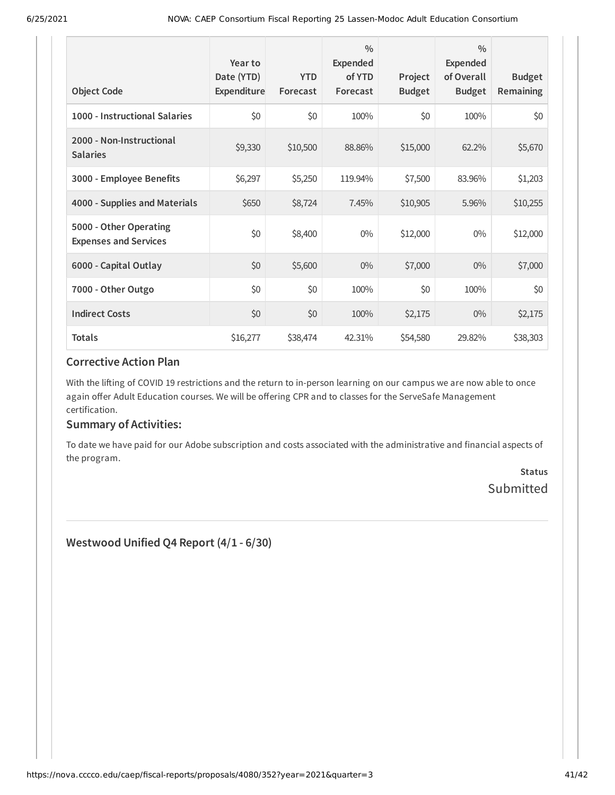| <b>Object Code</b>                                     | Year to<br>Date (YTD)<br>Expenditure | <b>YTD</b><br>Forecast | $\frac{0}{0}$<br>Expended<br>of YTD<br>Forecast | Project<br><b>Budget</b> | $\frac{0}{0}$<br>Expended<br>of Overall<br><b>Budget</b> | <b>Budget</b><br>Remaining |
|--------------------------------------------------------|--------------------------------------|------------------------|-------------------------------------------------|--------------------------|----------------------------------------------------------|----------------------------|
| 1000 - Instructional Salaries                          | \$0                                  | \$0                    | 100%                                            | \$0                      | 100%                                                     | \$0                        |
| 2000 - Non-Instructional<br><b>Salaries</b>            | \$9,330                              | \$10,500               | 88.86%                                          | \$15,000                 | 62.2%                                                    | \$5,670                    |
| 3000 - Employee Benefits                               | \$6,297                              | \$5,250                | 119.94%                                         | \$7,500                  | 83.96%                                                   | \$1,203                    |
| 4000 - Supplies and Materials                          | \$650                                | \$8,724                | 7.45%                                           | \$10,905                 | 5.96%                                                    | \$10,255                   |
| 5000 - Other Operating<br><b>Expenses and Services</b> | \$0                                  | \$8,400                | $0\%$                                           | \$12,000                 | $0\%$                                                    | \$12,000                   |
| 6000 - Capital Outlay                                  | \$0                                  | \$5,600                | $0\%$                                           | \$7,000                  | $0\%$                                                    | \$7,000                    |
| 7000 - Other Outgo                                     | \$0                                  | \$0                    | 100%                                            | \$0                      | 100%                                                     | \$0                        |
| <b>Indirect Costs</b>                                  | \$0                                  | \$0                    | 100%                                            | \$2,175                  | $0\%$                                                    | \$2,175                    |
| <b>Totals</b>                                          | \$16,277                             | \$38,474               | 42.31%                                          | \$54,580                 | 29.82%                                                   | \$38,303                   |

With the lifting of COVID 19 restrictions and the return to in-person learning on our campus we are now able to once again offer Adult Education courses. We will be offering CPR and to classes for the ServeSafe Management certification.

#### **Summary of Activities:**

To date we have paid for our Adobe subscription and costs associated with the administrative and financial aspects of the program.

> **Status** Submitted

**Westwood Unified Q4 Report (4/1 - 6/30)**